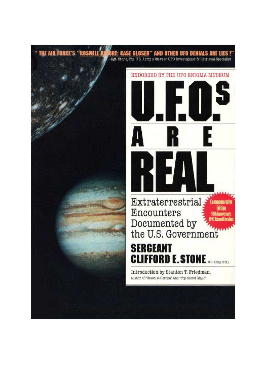

**ORT: CASE CLOSED'' AND OTHER UFO DENIALS ARE LIES!'**<br>-Sgt. Stone, The U.S. Army's 22-year UFO Investigator & Retrieval Specialist

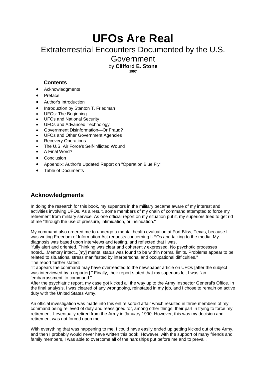# **UFOs Are Real**

Extraterrestrial Encounters Documented by the U.S.

Government by **Clifford E. Stone**

**1997**

#### **Contents**

- **Acknowledgments**
- Preface
- Author's Introduction
- Introduction by Stanton T. Friedman
- UFOs: The Beginning
- UFOs and National Security
- UFOs and Advanced Technology
- Government Disinformation—Or Fraud?
- UFOs and Other Government Agencies
- Recovery Operations
- The U.S. Air Force's Self-inflicted Wound
- A Final Word?
- **Conclusion**
- Appendix: Author's Updated Report on "Operation Blue Fly"
- Table of Documents

# **Acknowledgments**

In doing the research for this book, my superiors in the military became aware of my interest and activities involving UFOs. As a result, some members of my chain of command attempted to force my retirement from military service. As one official report on my situation put it, my superiors tried to get rid of me "through the use of pressure, intimidation, or insinuation."

My command also ordered me to undergo a mental health evaluation at Fort Bliss, Texas, because I was writing Freedom of Information Act requests concerning UFOs and talking to the media. My diagnosis was based upon interviews and testing, and reflected that I was,

"fully alert and oriented. Thinking was clear and coherently expressed. No psychotic processes noted....Memory intact...[my] mental status was found to be within normal limits. Problems appear to be related to situational stress manifested by interpersonal and occupational difficulties." The report further stated:

"It appears the command may have overreacted to the newspaper article on UFOs [after the subject was interviewed by a reporter]." Finally, their report stated that my superiors felt I was "an 'embarrassment' to command."

After the psychiatric report, my case got kicked all the way up to the Army Inspector General's Office. In the final analysis, I was cleared of any wrongdoing, reinstated in my job, and I chose to remain on active duty with the United States Army.

An official investigation was made into this entire sordid affair which resulted in three members of my command being relieved of duty and reassigned for, among other things, their part in trying to force my retirement. I eventually retired from the Army in January 1990. However, this was my decision and retirement was not forced upon me.

With everything that was happening to me, I could have easily ended up getting kicked out of the Army, and then I probably would never have written this book. However, with the support of many friends and family members, I was able to overcome all of the hardships put before me and to prevail.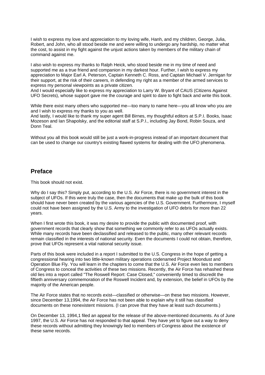I wish to express my love and appreciation to my loving wife, Hanh, and my children, George, Julia, Robert, and John, who all stood beside me and were willing to undergo any hardship, no matter what the cost, to assist in my fight against the unjust actions taken by members of the military chain of command against me.

I also wish to express my thanks to Ralph Heick, who stood beside me in my time of need and supported me as a true friend and companion in my darkest hour. Further, I wish to express my appreciation to Major Earl A. Peterson, Captain Kenneth C. Ross, and Captain Michael V. Jernigan for their support, at the risk of their careers, in defending my right as a member of the armed services to express my personal viewpoints as a private citizen.

And I would especially like to express my appreciation to Larry W. Bryant of CAUS (Citizens Against UFO Secrets), whose support gave me the courage and spirit to dare to fight back and write this book.

While there exist many others who supported me—too many to name here—you all know who you are and I wish to express my thanks to you as well.

And lastly, I would like to thank my super agent Bill Birnes, my thoughtful editors at S.P.I. Books, Isaac Mozeson and Ian Shapolsky, and the editorial staff at S.P.I., including Jay Bond, Robin Souza, and Donn Teal.

Without you all this book would still be just a work-in-progress instead of an important document that can be used to change our country's existing flawed systems for dealing with the UFO phenomena.

#### **Preface**

This book should not exist.

Why do I say this? Simply put, according to the U.S. Air Force, there is no government interest in the subject of UFOs. If this were truly the case, then the documents that make up the bulk of this book should have never been created by the various agencies of the U.S. Government. Furthermore, I myself could not have been assigned by the U.S. Army to the investigation of UFO debris for more than 22 years.

When I first wrote this book, it was my desire to provide the public with documented proof, with government records that clearly show that something we commonly refer to as UFOs actually exists. While many records have been declassified and released to the public, many other relevant records remain classified in the interests of national security. Even the documents I could not obtain, therefore, prove that UFOs represent a vital national security issue.

Parts of this book were included in a report I submitted to the U.S. Congress in the hope of getting a congressional hearing into two little-known military operations codenamed Project Moondust and Operation Blue Fly. You will learn in the chapters to come that the U.S. Air Force even lies to members of Congress to conceal the activities of these two missions. Recently, the Air Force has rehashed these old lies into a report called "The Roswell Report: Case Closed," conveniently timed to discredit the fiftieth anniversary commemoration of the Roswell Incident and, by extension, the belief in UFOs by the majority of the American people.

The Air Force states that no records exist—classified or otherwise—on these two missions. However, since December 13,1994, the Air Force has not been able to explain why it still has classified documents on these nonexistent missions. (I can prove that they have at least such documents.)

On December 13, 1994,1 filed an appeal for the release of the above-mentioned documents. As of June 1997, the U.S. Air Force has not responded to that appeal. They have yet to figure out a way to deny these records without admitting they knowingly lied to members of Congress about the existence of these same records.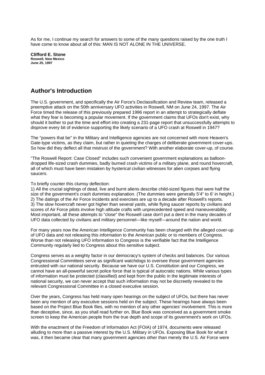As for me, I continue my search for answers to some of the many questions raised by the one truth I have come to know about all of this: MAN IS NOT ALONE IN THE UNIVERSE.

**Clifford E. Stone Roswell, New Mexico June 25, 1997**

## **Author's Introduction**

The U.S. government, and specifically the Air Force's Declassification and Review team, released a preemptive attack on the 50th anniversary UFO activities in Roswell, NM on June 24, 1997. The Air Force timed the release of this previously prepared 1996 report in an attempt to strategically deflate what they fear is becoming a popular movement. If the government claims that UFOs don't exist, why should it bother to put the time and effort into creating a 231-page report that unsuccessfully attempts to disprove every bit of evidence supporting the likely scenario of a UFO crash at Roswell in 1947?

The "powers that be" in the Military and Intelligence agencies are not concerned with more Heaven's Gate-type victims, as they claim, but rather in quieting the charges of deliberate government cover-ups. So how did they deflect all that mistrust of the government? With another elaborate cover-up, of course.

"The Roswell Report: Case Closed" includes such convenient government explanations as balloondropped life-sized crash dummies, badly burned crash victims of a military plane, and round hovercraft, all of which must have been mistaken by hysterical civilian witnesses for alien corpses and flying saucers.

#### To briefly counter this clumsy deflection:

1) All the crucial sightings of dead, live and burnt aliens describe child-sized figures that were half the size of the government's crash dummies explanation. (The dummies were generally 5'4" to 6' in height.) 2) The datings of the Air Force incidents and exercises are up to a decade after Roswell's reports. 3) The slow hovercraft never got higher than several yards, while flying saucer reports by civilians and scores of Air Force pilots involve high altitude crafts with unprecedented speed and maneuverability. Most important, all these attempts to "close" the Roswell case don't put a dent in the many decades of UFO data collected by civilians and military personnel—like myself—around the nation and world.

For many years now the American Intelligence Community has been charged with the alleged cover-up of UFO data and not releasing this information to the American public or to members of Congress. Worse than not releasing UFO information to Congress is the verifiable fact that the Intelligence Community regularly lied to Congress about this sensitive subject.

Congress serves as a weighty factor in our democracy's system of checks and balances. Our various Congressional Committees serve as significant watchdogs to oversee those government agencies entrusted with our national security. Because we have our U.S. Constitution and our Congress, we cannot have an all-powerful secret police force that is typical of autocratic nations. While various types of information must be protected (classified) and kept from the public in the legitimate interests of national security, we can never accept that such information may not be discreetly revealed to the relevant Congressional Committee in a closed executive session.

Over the years, Congress has held many open hearings on the subject of UFOs, but there has never been any mention of any executive sessions held on the subject. These hearings have always been based on the Project Blue Book files, with no mention of any other agencies' involvement. This is more than deceptive, since, as you shall read further on, Blue Book was conceived as a government smoke screen to keep the American people from the true depth and scope of its government's work on UFOs.

With the enactment of the Freedom of Information Act (FOIA) of 1974, documents were released alluding to more than a passive interest by the U.S. Military in UFOs. Exposing Blue Book for what it was, it then became clear that many government agencies other than merely the U.S. Air Force were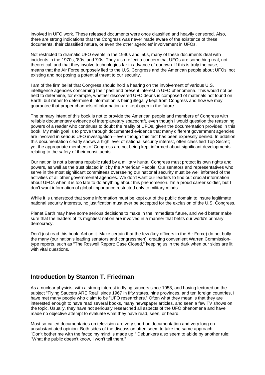involved in UFO work. These released documents were once classified and heavily censored. Also, there are strong indications that the Congress was never made aware of the existence of these documents, their classified nature, or even the other agencies' involvement in UFOs.

Not restricted to dramatic UFO events in the 1940s and '50s, many of these documents deal with incidents in the 1970s, '80s, and '90s. They also reflect a concern that UFOs are something real, not theoretical, and that they involve technologies far in advance of our own. If this is truly the case, it means that the Air Force purposely lied to the U.S. Congress and the American people about UFOs' not existing and not posing a potential threat to our security.

I am of the firm belief that Congress should hold a hearing on the involvement of various U.S. intelligence agencies concerning their past and present interest in UFO phenomena. This would not be held to determine, for example, whether discovered UFO debris is composed of materials not found on Earth, but rather to determine if information is being illegally kept from Congress and how we may guarantee that proper channels of information are kept open in the future.

The primary intent of this book is not to provide the American people and members of Congress with reliable documentary evidence of interplanetary spacecraft, even though I would question the reasoning powers of a reader who continues to doubt the reality of UFOs, given the documentation provided in this book. My main goal is to prove through documented evidence that many different government agencies are involved in serious UFO investigation—even though this fact has been expressly denied. In addition, this documentation clearly shows a high level of national security interest, often classified Top Secret; yet the appropriate members of Congress are not being kept informed about significant developments relating to the safety of their constituents.

Our nation is not a banana republic ruled by a military hunta. Congress must protect its own rights and powers, as well as the trust placed in it by the American People. Our senators and representatives who serve in the most significant committees overseeing our national security must be well informed of the activities of all other governmental agencies. We don't want our leaders to find out crucial information about UFOs when it is too late to do anything about this phenomenon. I'm a proud career soldier, but I don't want information of global importance restricted only to military minds.

While it is understood that some information must be kept out of the public domain to insure legitimate national security interests, no justification must ever be accepted for the exclusion of the U.S. Congress.

Planet Earth may have some serious decisions to make in the immediate future, and we'd better make sure that the leaders of its mightiest nation are involved in a manner that befits our world's primary democracy.

Don't just read this book. Act on it. Make certain that the few (key officers in the Air Force) do not bully the many (our nation's leading senators and congressmen), creating convenient Warren Commissiontype reports, such as "The Roswell Report: Case Closed," keeping us in the dark when our skies are lit with vital questions.

## **Introduction by Stanton T. Friedman**

As a nuclear physicist with a strong interest in flying saucers since 1958, and having lectured on the subject "Flying Saucers ARE Real" since 1967 in fifty states, nine provinces, and ten foreign countries, I have met many people who claim to be "UFO researchers." Often what they mean is that they are interested enough to have read several books, many newspaper articles, and seen a few TV shows on the topic. Usually, they have not seriously researched all aspects of the UFO phenomena and have made no objective attempt to evaluate what they have read, seen, or heard.

Most so-called documentaries on television are very short on documentation and very long on unsubstantiated opinion. Both sides of the discussion often seem to take the same approach: "Don't bother me with the facts; my mind is made up." Debunkers also seem to abide by another rule: "What the public doesn't know, I won't tell them."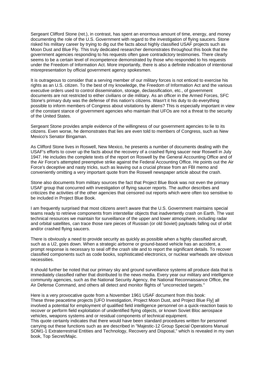Sergeant Clifford Stone (ret.), in contrast, has spent an enormous amount of time, energy, and money documenting the role of the U.S. Government with regard to the investigation of flying saucers. Stone risked his military career by trying to dig out the facts about highly classified USAF projects such as Moon Dust and Blue Fly. This truly dedicated researcher demonstrates throughout this book that the government agencies responding to his requests often gave contradictory testimonies. There clearly seems to be a certain level of incompetence demonstrated by those who responded to his requests under the Freedom of Information Act. More importantly, there is also a definite indication of intentional misrepresentation by official government agency spokesmen.

It is outrageous to consider that a serving member of our military forces is not enticed to exercise his rights as an U.S. citizen. To the best of my knowledge, the Freedom of Information Act and the various executive orders used to control dissemination, storage, declassification, etc., of government documents are not restricted to either civilians or die military. As an officer in the Armed Forces, SFC Stone's primary duty was the defense of this nation's citizens. Wasn't it his duty to do everything possible to inform members of Congress about visitations by aliens? This is especially important in view of the constant stance of government agencies who maintain that UFOs are not a threat to the security of the United States.

Sergeant Stone provides ample evidence of the willingness of our government agencies to lie to its citizens. Even worse, he demonstrates that lies are even told to members of Congress, such as New Mexico's Senator Bingaman.

As Clifford Stone lives in Roswell, New Mexico, he presents a number of documents dealing with the USAF's efforts to cover up the facts about the recovery of a crashed flying saucer near Roswell in July 1947. He includes the complete texts of the report on Roswell by the General Accounting Office and of the Air Force's attempted preemptive strike against the Federal Accounting Office. He points out the Air Force's deceptive and nasty tricks, such as leaving out a crucial phrase from an FBI memo and conveniently omitting a very important quote from the Roswell newspaper article about the crash.

Stone also documents from military sources the fact that Project Blue Book was not even the primary USAF group that concurred with investigation of flying saucer reports. The author describes and criticizes the activities of the other agencies that censored out reports which were often too sensitive to be included in Project Blue Book.

I am frequently surprised that most citizens aren't aware that the U.S. Government maintains special teams ready to retrieve components from interstellar objects that inadvertently crash on Earth. The vast technical resources we maintain for surveillance of the upper and lower atmosphere, including radar and orbital satellites, can trace those rare pieces of Russian (or old Soviet) payloads falling out of orbit and/or crashed flying saucers.

There is obviously a need to provide security as quickly as possible when a highly classified aircraft, such as a U2, goes down. When a strategic airborne or ground-based vehicle has an accident, a prompt response is necessary to seal off the crash site and to report the significant details. To recover classified components such as code books, sophisticated electronics, or nuclear warheads are obvious necessities.

It should further be noted that our primary sky and ground surveillance systems all produce data that is immediately classified rather that distributed to the news media. Every year our military and intelligence community agencies, such as the National Security Agency, the National Reconnaissance Office, the Air Defense Command, and others all detect and monitor flights of "uncorrected targets."

Here is a very provocative quote from a November 1961 USAF document from this book: These three peacetime projects [UFO Investigation, Project Moon Dust, and Project Blue Fly] all involved a potential for employment of qualified field intelligence personnel on a quick-reaction basis to recover or perform field exploitation of unidentified flying objects, or known Soviet Bloc aerospace vehicles, weapons systems and or residual components of technical equipment.

This quote certainly indicates that there would have been standard procedures written for personnel carrying out these functions such as are described in "Majestic-12 Group Special Operations Manual SOM1-1 Extraterrestrial Entities and Technology, Recovery and Disposal," which is revealed in my own book, Top Secret/Majic.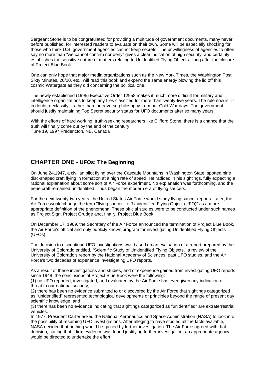Sergeant Stone is to be congratulated for providing a multitude of government documents, many never before published, for interested readers to evaluate on their own. Some will be especially shocking for those who think U.S. government agencies cannot keep secrets. The unwillingness of agencies to often say no more than "we cannot confirm nor deny" gives a clear indication of high security, and certainly establishes the sensitive nature of matters relating to Unidentified Flying Objects...long after the closure of Project Blue Book.

One can only hope that major media organizations such as the New York Times, the Washington Post, Sixty Minutes, 20/20, etc., will read this book and expend the same energy blowing the lid off this cosmic Watergate as they did concerning the political one.

The newly established (1995) Executive Order 12958 makes it much more difficult for military and intelligence organizations to keep any files classified for more than twenty-five years. The rule now is "If in doubt, declassify," rather than the reverse philosophy from our Cold War days. The government should justify maintaining Top Secret security status for UFO documents after so many years.

With the efforts of hard working, truth-seeking researchers like Clifford Stone, there is a chance that the truth will finally come out by the end of the century. Tune 19, 1997 Fredericton, NB, Canada

## **CHAPTER ONE - UFOs: The Beginning**

On June 24,1947, a civilian pilot flying over the Cascade Mountains in Washington State, spotted nine disc-shaped craft flying in formation at a high rate of speed. He radioed in his sightings, fully expecting a rational explanation about some sort of Air Force experiment. No explanation was forthcoming, and the eerie craft remained unidentified. Thus began the modern era of flying saucers.

For the next twenty-two years, the United States Air Force would study flying saucer reports. Later, the Air Force would change the term "flying saucer" to "Unidentified Flying Object (UFO)" as a more appropriate definition of the phenomena. These official studies were to be conducted under such names as Project Sign, Project Grudge and, finally, Project Blue Book.

On December 17, 1969, the Secretary of the Air Force announced the termination of Project Blue Book, the Air Force's official and only publicly known program for investigating Unidentified Flying Objects (UFOs).

The decision to discontinue UFO investigations was based on an evaluation of a report prepared by the University of Colorado entitled, "Scientific Study of Unidentified Flying Objects," a review of the University of Colorado's report by the National Academy of Sciences, past UFO studies, and the Air Force's two decades of experience investigating UFO reports.

As a result of these investigations and studies, and of experience gained from investigating UFO reports since 1948, the conclusions of Project Blue Book were the following:

(1) no UFO reported, investigated, and evaluated by the Air Force has ever given any indication of threat to our national security,

(2) there has been no evidence submitted to or discovered by the Air Force that sightings categorized as "unidentified" represented technological developments or principles beyond the range of present day scientific knowledge, and

(3) there has been no evidence indicating that sightings categorized as "unidentified" are extraterrestrial vehicles.

In 1977, President Carter asked the National Aeronautics and Space Administration (NASA) to look into the possibility of resuming UFO investigations. After alleging to have studied all the facts available, NASA decided that nothing would be gained by further investigation. The Air Force agreed with that decision, stating that if firm evidence was found justifying further investigation, an appropriate agency would be directed to undertake the effort.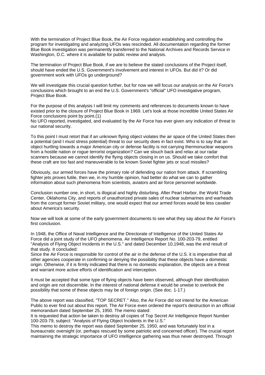With the termination of Project Blue Book, the Air Force regulation establishing and controlling the program for investigating and analyzing UFOs was rescinded. All documentation regarding the former Blue Book investigation was permanently transferred to the National Archives and Records Service in Washington, D.C. where it is available for public review and analysis.

The termination of Project Blue Book, if we are to believe the stated conclusions of the Project itself, should have ended the U.S. Government's involvement and interest in UFOs. But did it? Or did government work with UFOs go underground?

We will investigate this crucial question further, but for now we will focus our analysis on the Air Force's conclusions which brought to an end the U.S. Government's "official" UFO investigative program, Project Blue Book.

For the purpose of this analysis I will limit my comments and references to documents known to have existed prior to the closure of Project Blue Book in 1969. Let's look at those incredible United States Air Force conclusions point by point.(1)

No UFO reported, investigated, and evaluated by the Air Force has ever given any indication of threat to our national security.

To this point I must retort that if an unknown flying object violates the air space of the United States then a potential (and I must stress potential) threat to our security does in fact exist. Who is to say that an object hurtling towards a major American city or defense facility is not carrying thermonuclear weapons from a hostile nation or rogue terrorist organization? Can we slouch back and relax at our radar scanners because we cannot identify the flying objects closing in on us. Should we take comfort that these craft are too fast and maneuverable to be known Soviet fighter jets or scud missiles?

Obviously, our armed forces have the primary role of defending our nation from attack. If scrambling fighter jets proves futile, then we, in my humble opinion, had better do what we can to gather information about such phenomena from scientists, aviators and air force personnel worldwide.

Conclusion number one, in short, is illogical and highly disturbing. After Pearl Harbor, the World Trade Center, Oklahoma City, and reports of unauthorized private sales of nuclear submarines and warheads from the corrupt former Soviet military, one would expect that our armed forces would be less cavalier about America's security.

Now we will look at some of the early government documents to see what they say about the Air Force's first conclusion.

In 1948, the Office of Naval Intelligence and the Directorate of Intelligence of the United States Air Force did a joint study of the UFO phenomena. Air Intelligence Report No. 100-203-79, entitled "Analysis of Flying Object Incidents in the U.S." and dated December 10,1948, was the end result of that study. It concluded:

Since the Air Force is responsible for control of the air in the defense of the U.S. it is imperative that all other agencies cooperate in confirming or denying the possibility that these objects have a domestic origin. Otherwise, if it is firmly indicated that there is no domestic explanation, the objects are a threat and warrant more active efforts of identification and interception.

It must be accepted that some type of flying objects have been observed, although their identification and origin are not discernible. In the interest of national defense it would be unwise to overlook the possibility that some of these objects may be of foreign origin. (See doc. 1-17.)

The above report was classified, "TOP SECRET." Also, the Air Force did not intend for the American Public to ever find out about this report. The Air Force even ordered the report's destruction in an official memorandum dated September 25, 1950. The memo stated:

It is requested that action be taken to destroy all copies of Top Secret Air Intelligence Report Number 100-203-79, subject: "Analysis of Flying Object Incidents in the U.S."

This memo to destroy the report was dated September 25, 1950, and was fortunately lost in a bureaucratic oversight (or, perhaps rescued by some patriotic and concerned officer). The crucial report maintaining the strategic importance of UFO intelligence gathering was thus never destroyed. Through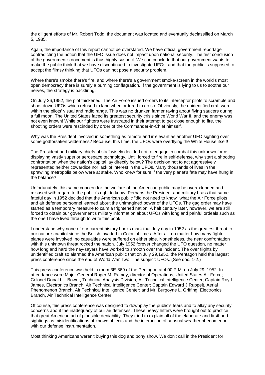the diligent efforts of Mr. Robert Todd, the document was located and eventually declassified on March 5, 1985.

Again, the importance of this report cannot be overstated. We have official government reportage contradicting the notion that the UFO issue does not impact upon national security. The first conclusion of the government's document is thus highly suspect. We can conclude that our government wants to make the public think that we have discontinued to investigate UFOs, and that the public is supposed to accept the flimsy thinking that UFOs can not pose a security problem.

Where there's smoke there's fire, and where there's a government smoke-screen in the world's most open democracy there is surely a burning conflagration. If the government is lying to us to soothe our nerves, the strategy is backfiring.

On July 26,1952, the plot thickened. The Air Force issued orders to its interceptor pilots to scramble and shoot down UFOs which refused to land when ordered to do so. Obviously, the unidentified craft were within the pilots' visual and radio range. This was no drunken farmer raving about flying saucers during a full moon. The United States faced its greatest security crisis since World War II, and the enemy was not even known! While our fighters were frustrated in their attempt to get close enough to fire, the shooting orders were rescinded by order of the Commander-in-Chief himself.

Why was the President involved in something as remote and irrelevant as another UFO sighting over some godforsaken wilderness? Because, this time, the UFOs were overflying the White House itself!

The President and military chiefs of staff wisely decided not to engage in combat this unknown force displaying vastly superior aerospace technology. Until forced to fire in self-defense, why start a shooting confrontation when the nation's capital lay directly below? The decision not to act aggressively represented neither cowardice nor lack of interest in the UFOs. Many thousands of lives in the sprawling metropolis below were at stake. Who knew for sure if the very planet's fate may have hung in the balance?

Unfortunately, this same concern for the welfare of the American public may be overextended and misused with regard to the public's right to know. Perhaps the President and military brass that same fateful day in 1952 decided that the American public "did not need to know" what the Air Force pilots and air defense personnel learned about the unimagined power of the UFOs. The gag order may have started as a temporary measure to calm a frightened nation. A half century later, however, we are still forced to obtain our government's military information about UFOs with long and painful ordeals such as the one I have lived through to write this book.

I understand why none of our current history books mark that July day in 1952 as the greatest threat to our nation's capitol since the British invaded in Colonial times. After all, no matter how many fighter planes were involved, no casualties were suffered on either side. Nonetheless, the near confrontation with this unknown threat rocked the nation. July 1952 forever changed the UFO question, no matter how long and hard the nay-sayers have worked to smooth over the incident. The over flights by unidentified craft so alarmed the American public that on July 29,1952, the Pentagon held the largest press conference since the end of World War Two. The subject: UFOs. (See doc. 1-2.)

This press conference was held in room 3E-869 of the Pentagon at 4:00 P.M. on July 29, 1952. In attendance were Major General Roger M. Ramey, director of Operations, United States Air Force; Colonel Donald L. Bower, Technical Analysis Division, Air Technical Intelligence Center; Captain Roy L. James, Electronics Branch, Air Technical Intelligence Center; Captain Edward J Ruppelt, Aerial Phenomenon Branch, Air Technical Intelligence Center; and Mr. Burgoyne L. Griffing, Electronics Branch, Air Technical Intelligence Center.

Of course, this press conference was designed to downplay the public's fears and to allay any security concerns about the inadequacy of our air defenses. These heavy hitters were brought out to practice that great American art of plausible deniability. They tried to explain all of the elaborate and firsthand sightings as misidentifications of known objects and the interaction of unusual weather phenomenon with our defense instrumentation.

Most thinking Americans weren't buying this dog and pony show. We don't call in the President for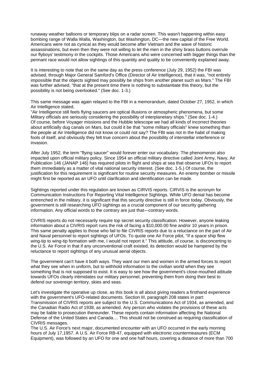runaway weather balloons or temporary blips on a radar screen. This wasn't happening within easy bombing range of Walla Walla, Washington, but Washington, DC—the new capital of the Free World. Americans were not as cynical as they would become after Vietnam and the wave of historic assassinations, but even then they were not willing to let the men in the shiny brass buttons overrule our flyboys' testimony in the cockpits. Those Americans who were concerned with bigger things than the pennant race would not allow sightings of this quantity and quality to be conveniently explained away.

It is interesting to note that on the same day as the press conference (July 29, 1952) the FBI was advised, through Major General Samford's Office (Director of Air Intelligence), that it was, "not entirely impossible that the objects sighted may possibly be ships from another planet such as Mars." The FBI was further advised, "that at the present time there is nothing to substantiate this theory, but the possibility is not being overlooked." (See doc. 1-3.)

This same message was again relayed to the FBI in a memorandum, dated October 27, 1952, in which Air Intelligence stated,

"Air Intelligence still feels flying saucers are optical illusions or atmospheric phenomena, but some Military officials are seriously considering the possibility of interplanetary ships." (See doc. 1-4.) Of course, before Voyager missions and the Hubble telescope we had all kinds of incorrect theories about artificially dug canals on Mars, but could it be that "some military officials" knew something than the people at Air Intelligence did not know or could not say? The FBI was not in the habit of making fools of itself, and obviously they felt true concern about the possibility of interstellar interference or invasion.

After July 1952, the term "flying saucer" would forever enter our vocabulary. The phenomenon also impacted upon official military policy. Since 1954 an official military directive called Joint Army, Navy, Air Publication 146 (JANAP 146) has required pilots in flight and ships at sea that observe UFOs to report them immediately as a matter of vital national security interest. (See doc. 1-5.) Of course, the justification for this requirement is significant for routine security measures. An enemy bomber or missile might first be reported as an UFO until clarification and identification can be made.

Sightings reported under this regulation are known as CIRVIS reports. CIRVIS is the acronym for Communication Instructions For Reporting Vital Intelligence Sightings. While UFO denial has become entrenched in the military, it is significant that this security directive is still in force today. Obviously, the government is still researching UFO sightings as a crucial component of our security gathering information. Any official words to the contrary are just that—contrary words.

CIVRIS reports do not necessarily require top secret security classification. However, anyone leaking information about a CIVRIS report runs the risk of facing a \$10,000.00 fine and/or 10 years in prison. This same penalty applies to those who fail to file CIVRIS reports due to a reluctance on the part of Air and Naval personnel to report sightings of UFOs. To quote one Air Force pilot, "If a space ship flew wing-tip to wing-tip formation with me, I would not report it." This attitude, of course, is disconcerting to the U.S. Air Force in that if any unconventional craft existed, its detection would be hampered by the reluctance to report sightings of any unusual aerial objects.

The government can't have it both ways. They want our men and women in the armed forces to report what they see when in uniform, but to withhold information to the civilian world when they see something that is not supposed to exist. It is easy to see how the government's close-mouthed attitude towards UFOs clearly intimidates our military personnel, preventing them from doing their best to defend our sovereign territory, skies and seas.

Let's investigate the operative up close, as this book is all about giving readers a firsthand experience with the government's UFO-related documents. Section III, paragraph 208 states in part: Transmission of CIVRIS reports are subject to the U.S. Communications Act of 1934, as amended, and the Canadian Radio Act of 1938, as amended. Any person who violates the provisions of these acts may be liable to prosecution thereunder. These reports contain information affecting the National Defense of the United States and Canada.... This should not be construed as requiring classification of CIVRIS messages.

The U.S. Air Force's next major, documented encounter with an UFO occurred in the early morning hours of July 17,1957. A U.S. Air Force RB-47, equipped with electronic countermeasures (ECM Equipment), was followed by an UFO for one and one half hours, covering a distance of more than 700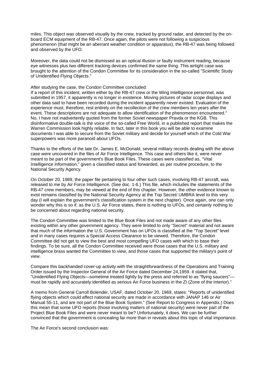miles. This object was observed visually by the crew, tracked by ground radar, and detected by the onboard ECM equipment of the RB-47. Once again, the pilots were not following a suspicious phenomenon (that might be an aberrant weather condition or apparatus), the RB-47 was being followed and observed by the UFO.

Moreover, the data could not be dismissed as an optical illusion or faulty instrument reading, because eye witnesses plus two different tracking devices confirmed the same thing. This airtight case was brought to the attention of the Condon Committee for its consideration in the so-called "Scientific Study of Unidentified Flying Objects."

#### After studying the case, the Condon Committee concluded:

If a report of this incident, written either by the RB-47 crew or the Wing Intelligence personnel, was submitted in 1957, it apparently is no longer in existence. Moving pictures of radar scope displays and other data said to have been recorded during the incident apparently never existed. Evaluation of the experience must, therefore, rest entirely on the recollection of the crew members ten years after the event. These descriptions are not adequate to allow identification of the phenomenon encountered." No, I have not inadvertently quoted from the former Soviet newspaper Pravda or the KGB. This disinformative double-talk is the voice of the so-called Free World, in a published report that makes the Warren Commission look highly reliable. In fact, later in this book you will be able to examine documents I was able to secure from the Soviet military and decide for yourself which of the Cold War superpowers was more paranoid about UFOs.

Thanks to the efforts of the late Dr. James E. McDonald, several military records dealing with the above case were uncovered in the files of Air Force Intelligence. This case and others like it, were never meant to be part of the government's Blue Book Files. These cases were classified as, "Vital Intelligence Information," given a classified status and forwarded, as per routine procedure, to the National Security Agency.

On October 20, 1989, the paper file pertaining to four other such cases, involving RB-47 aircraft, was released to me by Air Force Intelligence. (See doc. 1-6.) This file, which includes the statements of the RB-47 crew members, may be viewed at the end of this chapter. However, the other evidence known to exist remains classified by the National Security Agency at the Top Secret/ UMBRA level to this very day (I will explain the government's classification system in the next chapter). Once again, one can only wonder why this is so if, as the U.S. Air Force states, there is nothing to UFOs, and certainly nothing to be concerned about regarding national security.

The Condon Committee was limited to the Blue Book Files and not made aware of any other files existing within any other government agency. They were limited to only "Secret" material and not aware that much of the information the U.S. Government has on UFOs is classified at the "Top Secret" level and in many cases requires a Special Access Clearance to be viewed. Therefore, the Condon Committee did not get to view the best and most compelling UFO cases with which to base their findings. To be sure, all the Condon Committee received were those cases that the U.S. military and intelligence brass wanted the Committee to view, and those cases that supported the military's point of view.

Compare this backhanded cover-up activity with the straightforwardness of the Operations and Training Order issued by the Inspector General of the Air Force dated December 24,1959. It stated that, "Unidentified Flying Objects—sometime treated lightly by the press and referred to as "flying saucers" must be rapidly and accurately identified as serious Air Force business in the ZI (Zone of the Interior)."

A memo from General Carroll Bolender, USAF, dated October 20, 1969, states: "Reports of unidentified flying objects which could affect national security are made in accordance with JANAP 146 or Air Manual 55-11, and are not part of the Blue Book System." (See Report to Congress in Appendix.) Does this mean that some UFO reports (those involving matters of national security) were never part of the Project Blue Book Files and were never meant to be? Unfortunately, it does. We can be further convinced that the government is concealing far more than in reveals about this topic of vital importance.

The Air Force's second conclusion was: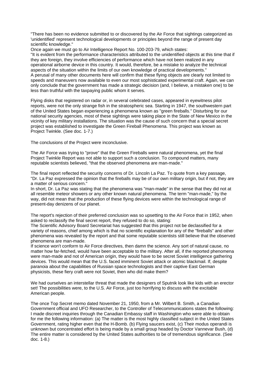"There has been no evidence submitted to or discovered by the Air Force that sightings categorized as 'unidentified' represent technological developments or principles beyond the range of present day scientific knowledge."

Once again we must go to Air Intelligence Report No. 100-203-79, which states:

"It is evident from the performance characteristics attributed to the unidentified objects at this time that if they are foreign, they involve efficiencies of performance which have not been realized in any operational airborne device in this country. It would, therefore, be a mistake to analyze the technical aspects of the situation within the limits of our own knowledge of practical developments." A perusal of many other documents here will confirm that these flying objects are clearly not limited to speeds and maneuvers now available to even our most sophisticated experimental craft. Again, we can only conclude that the government has made a strategic decision (and, I believe, a mistaken one) to be less than truthful with the taxpaying public whom it serves.

Flying disks that registered on radar or, in several celebrated cases, appeared in eyewitness pilot reports, were not the only strange fish in the stratospheric sea. Starting in 1947, the southwestern part of the United States began experiencing a phenomena known as "green fireballs." Disturbing for our national security agencies, most of these sightings were taking place in the State of New Mexico in the vicinity of key military installations. The situation was the cause of such concern that a special secret project was established to investigate the Green Fireball Phenomena. This project was known as Project Twinkle. (See doc. 1-7.)

The conclusions of the Project were inconclusive.

The Air Force was trying to "prove" that the Green Fireballs were natural phenomena, yet the final Project Twinkle Report was not able to support such a conclusion. To compound matters, many reputable scientists believed, "that the observed phenomena are man-made."

The final report reflected the security concerns of Dr. Lincoln La Paz. To quote from a key passage, "Dr. La Paz expressed the opinion that the fireballs may be of our own military origin, but if not, they are a matter of serious concern."

In short, Dr. La Paz was stating that the phenomena was "man-made" in the sense that they did not at all resemble meteor showers or any other known natural phenomena. The term "man-made," by the way, did not mean that the production of these flying devices were within the technological range of present-day denizens of our planet.

The report's rejection of their preferred conclusion was so upsetting to the Air Force that in 1952, when asked to reclassify the final secret report, they refused to do so, stating:

The Scientific Advisory Board Secretariat has suggested that this project not be declassified for a variety of reasons, chief among which is that no scientific explanation for any of the "fireballs" and other phenomena was revealed by the report and that some reputable scientists still believe that the observed phenomena are man-made.

If science won't conform to Air Force directives, then damn the science. Any sort of natural cause, no matter how far-fetched, would have been acceptable to the military. After all, if the reported phenomena were man-made and not of American origin, they would have to be secret Soviet intelligence gathering devices. This would mean that the U.S. faced imminent Soviet attack or atomic blackmail. If, despite paranoia about the capabilities of Russian space technologists and their captive East German physicists, these fiery craft were not Soviet, then who did make them?

We had ourselves an interstellar threat that made the designers of Sputnik look like kids with an erector set! The possibilities were, to the U.S. Air Force, just too horrifying to discuss with the excitable American people.

The once Top Secret memo dated November 21, 1950, from a Mr. Wilbert B. Smith, a Canadian Government official and UFO Researcher, to the Controller of Telecommunications states the following: I made discreet inquiries through the Canadian Embassy staff in Washington who were able to obtain for me the following information: (a) The matter is the most highly classified subject in the United States Government, rating higher even that the H-Bomb. (b) Flying saucers exist, (c) Their modus operandi is unknown but concentrated effort is being made by a small group headed by Doctor Vannevar Bush, (d) The entire matter is considered by the United States authorities to be of tremendous significance. (See doc. 1-8.)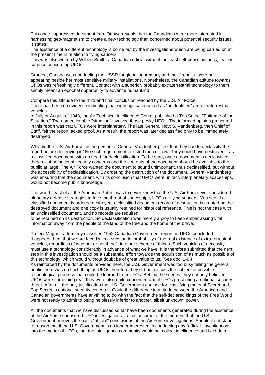This once-suppressed document from Ottawa reveals that the Canadians were more interested in harnessing geo-magnetism to create a new technology than concerned about potential security issues. It states:

The existence of a different technology is borne out by the investigations which are being carried on at the present time in relation to flying saucers.

This was also written by Wilbert Smith, a Canadian official without the least self-consciousness, fear or surprise concerning UFOs.

Granted, Canada was not dueling the USSR for global supremacy and the "fireballs" were not appearing beside her most sensitive military installations. Nonetheless, the Canadian attitude towards UFOs was refreshingly different. Contact with a superior, probably extraterrestrial technology to them simply meant an epochal opportunity to advance humankind.

Compare this attitude to the third and final conclusion reached by the U.S. Air Force: There has been no evidence indicating that sightings categorized as "unidentified" are extraterrestrial vehicles.

In July or August of 1948, the Air Technical Intelligence Center published a Top Secret "Estimate of the Situation." The unmentionable "situation" involved those pesky UFOs. The informed opinion presented in this report was that UFOs were interplanetary. The late General Hoyt S. Vandenberg, then Chief of Staff, felt the report lacked proof. As a result, the report was later declassified only to be immediately destroyed.

Why did the U.S. Air Force, in the person of General Vandenberg, feel that they had to declassify the report before destroying it? No such requirements existed then or now. They could have destroyed it as a classified document, with no need for declassification. To be sure, once a document is declassified, there exist no national security concerns and the contents of the document should be available to the public at large. The Air Force wanted the document to sound unimportant, thus declassified, but without the accessibility of declassification. By ordering the destruction of the document, General Vandenberg was ensuring that the document, with its conclusion that UFOs were, in fact, interplanetary spaceships, would not become public knowledge.

The world, least of all the American Public, was to never know that the U.S. Air Force ever considered planetary defense strategies to face the threat of spaceships, UFOs or flying saucers. You see, if a classified document is ordered destroyed, a classified document record of destruction is created on the destroyed document and one copy is usually retained for historical reference. This is not the case with an unclassified document, and no records are required

to be retained on its destruction. So declassification was merely a ploy to keep embarrassing vital information away from the people of the land of the free and the home of the brave.

Project Magnet, a formerly classified 1952 Canadian Government report on UFOs concluded: It appears then, that we are faced with a substantial probability of the real existence of extra-terrestrial vehicles, regardless of whether or not they fit into our scheme of things. Such vehicles of necessity must use a technology considerably in advance of what we have. It is therefore submitted that the next step in this investigation should be a substantial effort towards the acquisition of as much as possible of this technology, which would without doubt be of great value to us. (See doc. 1-9.) As reinforced by the documents provided here, the U.S. Government was too busy telling the general public there was no such thing as UFOs therefore they did not discuss the subject of possible technological progress that could be learned from UFOs. Behind the scenes, they not only believed UFOs were something real, they were also quite concerned about UFOs presenting a national security threat. After all, the only justification the U.S. Government can use for classifying material Secret and Top Secret is national security concerns. Could the difference in attitude between the American and Canadian governments have anything to do with the fact that the self-declared kings of the Free World were not ready to admit to being helplessly inferior to another, albeit unknown, power.

All the documents that we have discussed so far have been documents generated during the existence of the Air Force sponsored UFO investigations. Let us assume for the moment that the U.S. Government believes the basic "official" conclusions of the Air Force investigations. Should it not stand to reason that if the U.S. Government is no longer interested in conducting any "official" investigations into the matter of UFOs, that the intelligence community would not collect intelligence and field data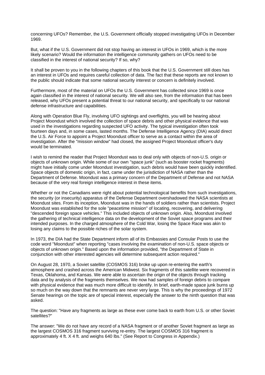concerning UFOs? Remember, the U.S. Government officially stopped investigating UFOs in December 1969.

But, what if the U.S. Government did not stop having an interest in UFOs in 1969, which is the more likely scenario? Would the information the intelligence community gathers on UFOs need to be classified in the interest of national security? If so, why?

It shall be proven to you in the following chapters of this book that the U.S. Government still does has an interest in UFOs and requires careful collection of data. The fact that these reports are not known to the public should indicate that some national security interest or concern is definitely involved.

Furthermore, most of the material on UFOs the U.S. Government has collected since 1969 is once again classified in the interest of national security. We will also see, from the information that has been released, why UFOs present a potential threat to our national security, and specifically to our national defense infrastructure and capabilities.

Along with Operation Blue Fly, involving UFO sightings and overflights, you will be hearing about Project Moondust which involved the collection of space debris and other physical evidence that was used in the investigations regarding suspected UFO activity. The typical investigation often took fourteen days and, in some cases, lasted months. The Defense Intelligence Agency (DIA) would direct the U.S. Air Force to appoint a Project Moondust officer to serve as a contact within the area of investigation. After the "mission window" had closed, the assigned Project Moondust officer's duty would be terminated.

I wish to remind the reader that Project Moondust was to deal only with objects of non-U.S. origin or objects of unknown origin. While some of our own "space junk" (such as booster rocket fragments) might have initially come under Moondust investigation, such debris would have been quickly indentified. Space objects of domestic origin, in fact, came under the jurisdiction of NASA rather than the Department of Defense. Moondust was a primary concern of the Department of Defense and not NASA because of the very real foreign intelligence interest in these items.

Whether or not the Canadians were right about potential technological benefits from such investigations, the security (or insecurity) apparatus of the Defense Department overshadowed the NASA scientists at Moondust sites. From its inception, Moondust was in the hands of soldiers rather than scientists. Project Moondust was established for the sole "peacetime mission" of locating, recovering, and delivering "descended foreign space vehicles." This included objects of unknown origin. Also, Moondust involved the gathering of technical intelligence data on the development of the Soviet space programs and their intended purposes. In the charged atmosphere of the Cold War, losing the Space Race was akin to losing any claims to the possible riches of the solar system.

In 1973, the DIA had the State Department inform all of its Embassies and Consular Posts to use the code word "Moondust" when reporting "cases involving the examination of non-U.S. space objects or objects of unknown origin." Based upon the information provided, "the Department of State in conjunction with other interested agencies will determine subsequent action required."

On August 28, 1970, a Soviet satellite (COSMOS 316) broke up upon re-entering the earth's atmosphere and crashed across the American Midwest. Six fragments of this satellite were recovered in Texas, Oklahoma, and Kansas. We were able to ascertain the origin of the objects through tracking data and by analysis of the fragments themselves. We now had samples of foreign debris to compare with physical evidence that was much more difficult to identify. In brief, earth-made space junk burns up so much on the way down that the remnants are never very large. This is why the proceedings of 1972 Senate hearings on the topic are of special interest, especially the answer to the ninth question that was asked.

The question: "Have any fragments as large as these ever come back to earth from U.S. or other Soviet satellites?"

The answer: "We do not have any record of a NASA fragment or of another Soviet fragment as large as the largest COSMOS 316 fragment surviving re-entry. The largest COSMOS 316 fragment is approximately 4 ft. X 4 ft. and weighs 640 lbs." (See Report to Congress in Appendix.)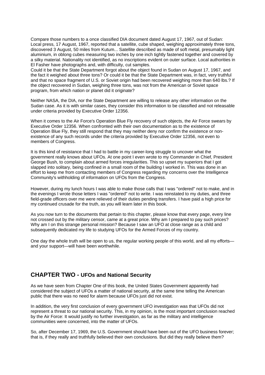Compare those numbers to a once classified DIA document dated August 17, 1967, out of Sudan: Local press, 17 August, 1967, reported that a satellite, cube shaped, weighing approximately three tons, discovered 3 August, 50 miles from Kutum... Satellite described as made of soft metal, presumably light aluminium, in oblong cubes measuring two inches by one inch tightly fastened together and covered by a silky material. Nationality not identified, as no inscriptions evident on outer surface. Local authorities in El Fasher have photographs and, with difficulty, cut samples.

Could it be that the State Department forgot about the object found in Sudan on August 17, 1967, and the fact it weighed about three tons? Or could it be that the State Department was, in fact, very truthful and that no space fragment of U.S. or Soviet origin had been recovered weighing more than 640 lbs.? If the object recovered in Sudan, weighing three tons, was not from the American or Soviet space program, from which nation or planet did it originate?

Neither NASA, the DIA, nor the State Department are willing to release any other information on the Sudan case. As it is with similar cases, they consider this information to be classified and not releasable under criteria provided by Executive Order 12356.

When it comes to the Air Force's Operation Blue Fly recovery of such objects, the Air Force swears by Executive Order 12356. When confronted with their own documentation as to the existence of Operation Blue Fly, they still respond that they may neither deny nor confirm the existence or nonexistence of any such records under the criteria provided by Executive Order 12356, not even to members of Congress.

It is this kind of resistance that I had to battle in my career-long struggle to uncover what the government really knows about UFOs. At one point I even wrote to my Commander in Chief, President George Bush, to complain about armed forces irregularities. This so upset my superiors that I got slapped into solitary, being confined in a small room of the building I worked in. This was done in an effort to keep me from contacting members of Congress regarding my concerns over the Intelligence Community's withholding of information on UFOs from the Congress.

However, during my lunch hours I was able to make those calls that I was "ordered" not to make, and in the evenings I wrote those letters I was "ordered" not to write. I was reinstated to my duties, and three field-grade officers over me were relieved of their duties pending transfers. I have paid a high price for my continued crusade for the truth, as you will learn later in this book.

As you now turn to the documents that pertain to this chapter, please know that every page, every line not crossed out by the military censor, came at a great price. Why am I prepared to pay such prices? Why am I on this strange personal mission? Because I saw an UFO at close range as a child and subsequently dedicated my life to studying UFOs for the Armed Forces of my country.

One day the whole truth will be open to us, the regular working people of this world, and all my efforts and your support—will have been worthwhile.

## **CHAPTER TWO - UFOs and National Security**

As we have seen from Chapter One of this book, the United States Government apparently had considered the subject of UFOs a matter of national security, at the same time telling the American public that there was no need for alarm because UFOs just did not exist.

In addition, the very first conclusion of every government UFO investigation was that UFOs did not represent a threat to our national security. This, in my opinion, is the most important conclusion reached by the Air Force: It would justify no further investigation, as far as the military and intelligence communities were concerned, into the matter of UFOs.

So, after December 17, 1969, the U.S. Government should have been out of the UFO business forever; that is, if they really and truthfully believed their own conclusions. But did they really believe them?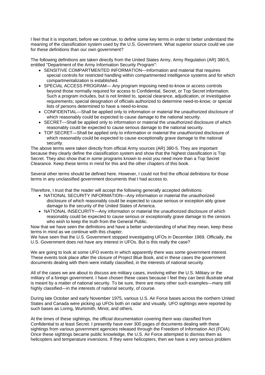I feel that it is important, before we continue, to define some key terms in order to better understand the meaning of the classification system used by the U.S. Government. What superior source could we use for these definitions than our own government?

The following definitions are taken directly from the United States Army, Army Regulation (AR) 380-5, entitled "Department of the Army Information Security Program":

- SENSITIVE COMPARTMENTED INFORMATION—Information and material that requires special controls for restricted handling within compartmented intelligence systems and for which compartmentalization is established.
- SPECIAL ACCESS PROGRAM— Any program imposing need-to-know or access controls beyond those normally required for access to Confidential, Secret, or Top Secret information. Such a program includes, but is not limited to, special clearance, adjudication, or investigative requirements; special designation of officials authorized to determine need-to-know; or special lists of persons determined to have a need-to-know.
- CONFIDENTIAL—Shall be applied only to information or material the unauthorized disclosure of which reasonably could be expected to cause damage to the national security.
- SECRET—Shall be applied only to information or material the unauthorized disclosure of which reasonably could be expected to cause serious damage to the national security.
- TOP SECRET—Shall be applied only to information or material the unauthorized disclosure of which reasonably could be expected to cause exceptionally grave damage to the national security.

The above terms were taken directly from official Army sources (AR) 380-5. They are important because they clearly define the classification system and show that the highest classification is Top Secret. They also show that in some programs known to exist you need more than a Top Secret Clearance. Keep these terms in mind for this and the other chapters of this book.

Several other terms should be defined here. However, I could not find the official definitions for those terms in any unclassified government documents that I had access to.

Therefore, I trust that the reader will accept the following generally accepted definitions:

- NATIONAL SECURITY INFORMATION—Any information or material the unauthorized disclosure of which reasonably could be expected to cause serious or exception ably grave damage to the security of the United States of America.
- NATIONAL INSECURITY—Any information or material the unauthorized disclosure of which reasonably could be expected to cause serious or exceptionally grave damage to the censors who wish to keep the truth from the General Public.

Now that we have seen the definitions and have a better understanding of what they mean, keep these terms in mind as we continue with this chapter.

We have seen that the U.S. Government stopped investigating UFOs in December 1969. Officially, the U.S. Government does not have any interest in UFOs. But is this really the case?

We are going to look at some UFO events in which apparently there was some government interest. These events took place after the closure of Project Blue Book, and in these cases the government documents dealing with them were initially classified, in the interests of national security.

All of the cases we are about to discuss are military cases, involving either the U.S. Military or the military of a foreign government. I have chosen these cases because I feel they can best illustrate what is meant by a matter of national security. To be sure, there are many other such examples—many still highly classified—in the interests of national security, of course.

During late October and early November 1975, various U.S. Air Force bases across the northern United States and Canada were picking up UFOs both on radar and visually. UFO sightings were reported by such bases as Loring, Wurtsmith, Minot, and others.

At the times of these sightings, the official documentation covering them was classified from Confidential to at least Secret. I presently have over 300 pages of documents dealing with these sightings from various government agencies released through the Freedom of Information Act (FOIA). Once these sightings became public knowledge, the U.S. Air Force attempted to dismiss them as helicopters and temperature inversions. If they were helicopters, then we have a very serious problem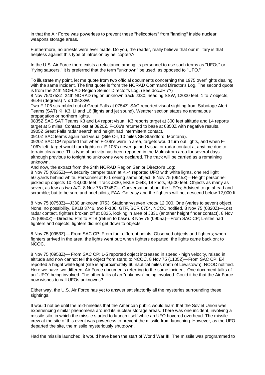in that the Air Force was powerless to prevent these "helicopters" from "landing" inside nuclear weapons storage areas.

Furthermore, no arrests were ever made. Do you, the reader, really believe that our military is that helpless against this type of intrusion by helicopters?

In the U.S. Air Force there exists a reluctance among its personnel to use such terms as "UFOs" or "flying saucers." It is preferred that the term "unknown" be used, as opposed to "UFO."

To illustrate my point, let me quote from two official documents concerning the 1975 overflights dealing with the same incident. The first quote is from the NORAD Command Director's Log. The second quote is from the 24th NOFLAD Region Senior Director's Log. (See doc.JH'7?)

8 Nov 75/0753Z: 24th NORAD region unknown track J330, heading SSW, 12000 feet. 1 to 7 objects, 46.46 (degrees) N x 109.23W.

Two F-106 scrambled out of Great Falls at 0754Z. SAC reported visual sighting from Sabotage Alert Teams (SAT) Kl, K3, LI and L6 (lights and jet sound). Weather section states no anomalous propagation or northern lights.

0835Z SAC SAT Teams K3 and L4 report visual, K3 reports target at 300 feet altitude and L4 reports target at 5 miles. Contact lost at 0820Z. F-106's returned to base at 0850Z with negative results. 0905Z Great Falls radar search and height had intermittent contact.

0910Z SAC teams again had visual (Site C-l, 10 miles SE Standford, Montana).

0920Z SAC CP reported that when F-106's were in area, targets would turn out lights, and when F-106's left, target would turn lights on. F-106's never gained visual or radar contact at anytime due to terrain clearance. This type of activity has been reported in the Malmstrom area for several days although previous to tonight no unknowns were declared. The track will be carried as a remaining unknown.

And now, the extract from the 24th NORAD Region Senior Director's Log:

8 Nov 75 (0635Z)—A security camper team at K.-4 reported UFO with white lights, one red light 50 .yards behind white. Personnel at K-1 seeing same object. 8 Nov 75 (0645Z)—Height personnel picked up objects 10 -13,000 feet, Track J330, EKLB 0648, 18 knots, 9,500 feet. Objects as many as seven, as few as two A/C. 8 Nov 75 (0745Z)—Conversation about the UFOs; Advised to go ahead and scramble; but to be sure and brief pilots, FAA. Go easy and the fighters will not descend below 12,000 ft.

8 Nov 75 (0753Z)—J330 unknown 0753. Stationary/seven knots/ 12,000. One (varies to seven) object. None, no possibility, EKLB 3746, two F-106, GTF, SCR 0754. NCOC notified. 8 Nov 75 (0820Z)—Lost radar contact, fighters broken off at 0825, looking in area of J331 (another height finder contact). 8 Nov 75 (0850Z)—Directed Ftrs to RTB (return to base). 8 Nov 75 (0905Z)—From SAC CP; L-sites had fighters and objects; fighters did not get down to objects.

8 Nov 75 (0953Z)— From SAC CP: From four different points; Observed objects and fighters; when fighters arrived in the area, the lights went out; when fighters departed, the lights came back on; to NCOC.

8 Nov 75 (0953Z)— From SAC CP: L-5 reported object increased in speed - high velocity, raised in altitude and now cannot tell the object from stars; to NCOC. 8 Nov 75 (1105Z)—From SAC CP: E-l reported a bright white light (site is approximately 60 nautical miles north of Lewistown). NCOC notified. Here we have two different Air Force documents referring to the same incident. One document talks of an "UFO" being involved. The other talks of an "unknown" being involved. Could it be that the Air Force now wishes to call UFOs unknowns?

Either way, the U.S. Air Force has yet to answer satisfactorily all the mysteries surrounding these sightings.

It would not be until the mid-nineties that the American public would learn that the Soviet Union was experiencing similar phenomena around its nuclear storage areas. There was one incident, involving a missile silo, in which the missile started to launch itself while an UFO hovered overhead. The missile crew at the site of this event was powerless to prevent the missile from launching. However, as the UFO departed the site, the missile mysteriously shutdown.

Had the missile launched, it would have been the start of World War III. The missile was programmed to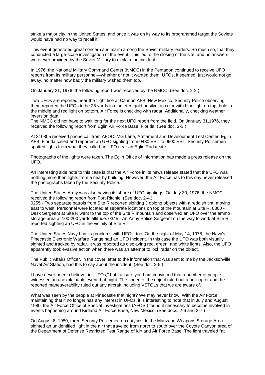strike a major city in the United States, and once it was on its way to its programmed target the Soviets would have had no way to recall it.

This event generated great concern and alarm among the Soviet military leaders. So much so, that they conducted a large-scale investigation of the event. This led to the closing of the site; and no answers were ever provided by the Soviet Military to explain the incident.

In 1976, the National Military Command Center (NMCC) in the Pentagon continued to receive UFO reports from its military personnel—whether or not it wanted them. UFOs, it seemed, just would not go away, no matter how badly the military wished them too.

On January 21, 1976, the following report was received by the NMCC: (See doc. 2-2.)

Two UFOs are reported near the flight line at Cannon AFB, New Mexico. Security Police observing them reported the UFOs to be 25 yards in diameter, gold or silver in color with blue light on top, hole in the middle and red light on bottom. Air Force is checking with radar. Additionally, checking weather inversion data.

The NMCC did not have to wait long for the next UFO report from the field. On January 31,1976, they received the following report from Eglin Air Force Base, Florida: (See doc. 2-3.)

At 310805 received phone call from AFOC: MG Lane, Armament and Development Test Center, Eglin AFB, Florida called and reported an UFO sighting from 0430 EST to 0600 EST. Security Policemen spotted lights from what they called an UFO near an Eglin Radar site.

Photographs of the lights were taken. The Eglin Office of Information has made a press release on the UFO.

An interesting side note to this case is that the Air Force in its news release stated that the UFO was nothing more then lights from a nearby building. However, the Air Force has to this day never released the photographs taken by the Security Police.

The United States Army was also having its share of UFO sightings. On July 30, 1976, the NMCC received the following report from Fort Ritchie: (See doc. 2-4.)

0255 - Two separate patrols from Site R reported sighting 3 oblong objects with a reddish tint, moving east to west. Personnel were located at separate locations on top of the mountain at Site R. 0300 - Desk Sergeant at Site R went to the top of the Site R mountain and observed an UFO over the ammo storage area at 100-200 yards altitude. 0345 - An Army Police Sergeant on the way to work at Site R reported sighting an UFO in the vicinity of Site R.

The United States Navy had its problems with UFOs, too. On the night of May 14, 1978, the Navy's Pinecastle Electronic Warfare Range had an UFO Incident. In this case the UFO was both visually sighted and tracked by radar. It was reported as displaying red, green, and white lights. Also, the UFO apparently took evasive action when there was an attempt to lock radar on the object.

The Public Affairs Officer, in the cover letter to the information that was sent to me by the Jacksonville Naval Air Station, had this to say about the incident: (See doc. 2-5.)

I have never been a believer in "UFOs," but I assure you I am convinced that a number of people witnessed an unexplainable event that night. The speed of the object ruled out a helicopter and the reported maneuverability ruled out any aircraft including VSTOLs that we are aware of.

What was seen by the people at Pinecastle that night? We may never know. With the Air Force maintaining that it no longer has any interest in UFOs, it is interesting to note that in July and August 1980, the Air Force Office of Special Investigations (AFOSI) found it necessary to become involved in events happening around Kirtland Air Force Base, New Mexico. (See docs. 2-6 and 2-7.)

On August 8, 1980, three Security Policemen on duty inside the Manzano Weapons Storage Area sighted an unidentified light in the air that traveled from north to south over the Coyote Canyon area of the Department of Defense Restricted Test Range of Kirtland Air Force Base. The light traveled "at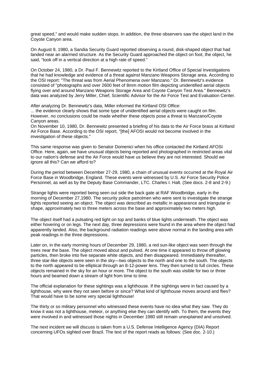great speed," and would make sudden stops. In addition, the three observers saw the object land in the Coyote Canyon area.

On August 9, 1980, a Sandia Security Guard reported observing a round, disk-shaped object that had landed near an alarmed structure. As the Security Guard approached the object on foot, the object, he said, "took off in a vertical direction at a high rate of speed."

On October 24, 1980, a Dr. Paul F. Bennewitz reported to the Kirtland Office of Special Investigations that he had knowledge and evidence of a threat against Manzano Weapons Storage area. According to the OSI report: "The threat was from Aerial Phenomena over Manzano." Dr. Bennewitz's evidence consisted of "photographs and over 2600 feet of 8mm motion film depicting unidentified aerial objects flying over and around Manzano Weapons Storage Area and Coyote Canyon Test Area." Bennewitz's data was analyzed by Jerry Miller, Chief, Scientific Advisor for the Air Force Test and Evaluation Center.

After analyzing Dr. Bennewitz's data, Miller informed the Kirtland OSI Office:

... the evidence clearly shows that some type of unidentified aerial objects were caught on film. However, no conclusions could be made whether these objects pose a threat to Manzano/Coyote Canyon areas.

On November 10, 1980, Dr. Bennewitz presented a briefing of his data to the Air Force brass at Kirtland Air Force Base. According to the OSI report, "[the] AFOSI would not become involved in the investigation of these objects."

This same response was given to Senator Domenici when his office contacted the Kirtland AFOSI Office. Here, again, we have unusual objects being reported and photographed in restricted areas vital to our nation's defense and the Air Force would have us believe they are not interested. Should we ignore all this? Can we afford to?

During the period between December 27-29, 1980, a chain of unusual events occurred at the Royal Air Force Base in Woodbridge, England. These events were witnessed by U.S. Air Force Security Police Personnel, as well as by the Deputy Base Commander, LTC. Charles I. Halt. (See docs. 2-8 and 2-9.)

Strange lights were reported being seen out side the back gate at RAF Woodbridge, early in the morning of December 27,1980. The security police patrolmen who were sent to investigate the strange lights reported seeing an object. The object was described as metallic in appearance and triangular in shape, approximately two to three meters across the base and approximately two meters high.

The object itself had a pulsating red light on top and banks of blue lights underneath. The object was either hovering or on legs. The next day, three depressions were found in the area where the object had apparently landed. Also, the background radiation readings were above normal in the landing area with peak readings in the three depressions.

Later on, in the early morning hours of December 29, 1980, a red sun-like object was seen through the trees near the base. The object moved about and pulsed. At one time it appeared to throw off glowing particles, then broke into five separate white objects, and then disappeared. Immediately thereafter, three star-like objects were seen in the sky—two objects to the north and one to the south. The objects to the north appeared to be elliptical through an 8-12-power lens. They then turned to full circles. These objects remained in the sky for an hour or more. The object to the south was visible for two or three hours and beamed down a stream of light from time to time.

The official explanation for these sightings was a lighthouse. If the sightings were in fact caused by a lighthouse, why were they not seen before or since? What kind of lighthouse moves around and flies? That would have to be some very special lighthouse!

The thirty or so military personnel who witnessed these events have no idea what they saw. They do know it was not a lighthouse, meteor, or anything else they can identify with. To them, the events they were involved in and witnessed those nights in December 1980 still remain unexplained and unsolved.

The next incident we will discuss is taken from a U.S. Defense Intelligence Agency (DIA) Report concerning UFOs sighted over Brazil. The text of the report reads as follows: (See doc. 2-10.)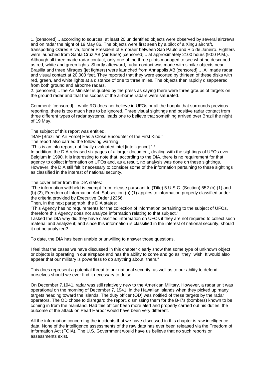1. [censored]... according to sources, at least 20 unidentified objects were observed by several aircrews and on radar the night of 19 May 86. The objects were first seen by a pilot of a Xingu aircraft, transporting Ozires Silva, former President of Embraer between Sao Paulo and Rio de Janeiro. Fighters were launched from Santa Cruz AB (Air Base) [censored]... at approximately 2100 hours (9:00 P.M.). Although all three made radar contact, only one of the three pilots managed to see what he described as red, white and green lights. Shortly afterward, radar contact was made with similar objects near Brasilia and three Mirages (jet fighters) were launched from Annapolis AB [censored]... .All made radar and visual contact at 20,000 feet. They reported that they were escorted by thirteen of these disks with red, green, and white lights at a distance of one to three miles. The objects then rapidly disappeared from both ground and airborne radars.

2. [censored]... the Air Minister is quoted by the press as saying there were three groups of targets on the ground radar and that the scopes of the airborne radars were saturated.

Comment: [censored]... while RO does not believe in UFOs or all the hoopla that surrounds previous reporting, there is too much here to be ignored. Three visual sightings and positive radar contact from three different types of radar systems, leads one to believe that something arrived over Brazil the night of 19 May.

The subject of this report was entitled,

"BAF [Brazilian Air Force] Has a Close Encounter of the First Kind."

The report also carried the following warning:

"This is an info report, not finally evaluated intel [intelligence]." \*

In addition, the DIA released six pages of a larger document, dealing with the sightings of UFOs over Belgium in 1990. It is interesting to note that, according to the DIA, there is no requirement for that agency to collect information on UFOs and, as a result, no analysis was done on these sightings. However, the DIA still felt it necessary to consider some of the information pertaining to these sightings as classified in the interest of national security.

The cover letter from the DIA states:

"The information withheld is exempt from release pursuant to (Title) 5 U.S.C. (Section) 552 (b) (1) and (b) (2), Freedom of Information Act. Subsection (b) (1) applies to information properly classified under the criteria provided by Executive Order 12356."

Then, in the next paragraph, the DIA states:

"This Agency has no requirements for the collection of information pertaining to the subject of UFOs, therefore this Agency does not analyze information relating to that subject."

I asked the DIA why did they have classified information on UFOs if they are not required to collect such material and analyze it; and since this information is classified in the interest of national security, should it not be analyzed?

To date, the DIA has been unable or unwilling to answer those questions.

I feel that the cases we have discussed in this chapter clearly show that some type of unknown object or objects is operating in our airspace and has the ability to come and go as "they" wish. It would also appear that our military is powerless to do anything about "them."

This does represent a potential threat to our national security, as well as to our ability to defend ourselves should we ever find it necessary to do so.

On December 7,1941, radar was still relatively new to the American Military. However, a radar unit was operational on the morning of December 7, 1941, in the Hawaiian Islands when they picked up many targets heading toward the islands. The duty officer (OD) was notified of these targets by the radar operators. The OD chose to disregard the report, dismissing them for the B-I7s (bombers) known to be coming in from the mainland. Had this officer been more alert and properly carried out his duties, the outcome of the attack on Pearl Harbor would have been very different.

All the information concerning the incidents that we have discussed in this chapter is raw intelligence data. None of the intelligence assessments of the raw data has ever been released via the Freedom of Information Act (FOIA). The U.S. Government would have us believe that no such reports or assessments exist.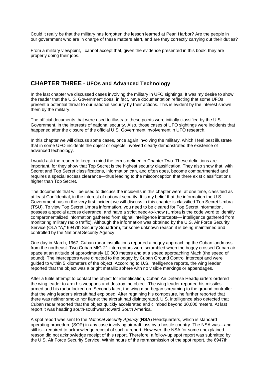Could it really be that the military has forgotten the lesson learned at Pearl Harbor? Are the people in our government who are in charge of these matters alert, and are they correctly carrying out their duties?

From a military viewpoint, I cannot accept that, given the evidence presented in this book, they are properly doing their jobs.

## **CHAPTER THREE - UFOs and Advanced Technology**

In the last chapter we discussed cases involving the military in UFO sightings. It was my desire to show the reader that the U.S. Government does, in fact, have documentation reflecting that some UFOs present a potential threat to our national security by their actions. This is evident by the interest shown them by the military.

The official documents that were used to illustrate these points were initially classified by the U.S. Government, in the interests of national security. Also, those cases of UFO sightings were incidents that happened after the closure of the official U.S. Government involvement in UFO research.

In this chapter we will discuss some cases, once again involving the military, which I feel best illustrate that in some UFO incidents the object or objects involved clearly demonstrated the existence of advanced technology.

I would ask the reader to keep in mind the terms defined in Chapter Two. These definitions are important, for they show that Top Secret is the highest security classification. They also show that, with Secret and Top Secret classifications, information can, and often does, become compartmented and requires a special access clearance—thus leading to the misconception that there exist classifications higher than Top Secret.

The documents that will be used to discuss the incidents in this chapter were, at one time, classified as at least Confidential, in the interest of national security. It is my belief that the information the U.S. Government has on the very first incident we will discuss in this chapter is classified Top Secret Umbra (TSU). To view Top Secret Umbra information, you need to be cleared for Top Secret information, possess a special access clearance, and have a strict need-to-know (Umbra is the code word to identify compartmentalized information gathered from signal intelligence intercepts— intelligence gathered from monitoring military radio traffic). Although the information was obtained by the U.S. Air Force Security Service (OLA "A," 6947th Security Squadron), for some unknown reason it is being maintained and controlled by the National Security Agency.

One day in March, 1967, Cuban radar installations reported a bogey approaching the Cuban landmass from the northeast. Two Cuban MIG-21 interceptors were scrambled when the bogey crossed Cuban air space at an altitude of approximately 10,000 meters and at a speed approaching Mach (the speed of sound). The interceptors were directed to the bogey by Cuban Ground Control Intercept and were guided to within 5 kilometers of the object. According to U.S. intelligence reports, the wing leader reported that the object was a bright metallic sphere with no visible markings or appendages.

After a futile attempt to contact the object for identification, Cuban Air Defense Headquarters ordered the wing leader to arm his weapons and destroy the object. The wing leader reported his missiles armed and his radar locked-on. Seconds later, the wing man began screaming to the ground controller that the wing leader's aircraft had exploded. After regaining his composure, he further reported that there was neither smoke nor flame: the aircraft had disintegrated. U.S. intelligence also detected that Cuban radar reported that the object quickly accelerated and climbed beyond 30,000 meters. At last report it was heading south-southwest toward South America.

A spot report was sent to the *National Security Agency* (**NSA**) Headquarters, which is standard operating procedure (SOP) in any case involving aircraft loss by a hostile country. The NSA was—and still is—required to acknowledge receipt of such a report. However, the NSA for some unexplained reason did not acknowledge receipt of this report. Therefore, a follow-up spot report was submitted by the U.S. Air Force Security Service. Within hours of the retransmission of the spot report, the 6947th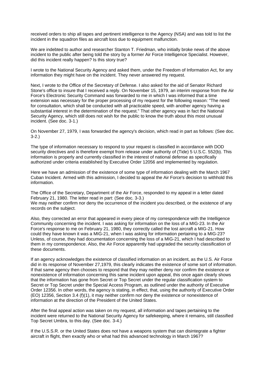received orders to ship all tapes and pertinent intelligence to the Agency (NSA) and was told to list the incident in the squadron files as aircraft loss due to equipment malfunction.

We are indebted to author and researcher Stanton T. Friedman, who initially broke news of the above incident to the public after being told the story by a former Air Force Intelligence Specialist. However, did this incident really happen? Is this story true?

I wrote to the National Security Agency and asked them, under the Freedom of Information Act, for any information they might have on the incident. They never answered my request.

Next, I wrote to the Office of the Secretary of Defense. I also asked for the aid of Senator Richard Stone's office to insure that I received a reply. On November 15, 1979, an interim response from the Air Force's Electronic Security Command was forwarded to me in which I was informed that a time extension was necessary for the proper processing of my request for the following reason: "The need for consultation, which shall be conducted with all practicable speed, with another agency having a substantial interest in the determination of the request." That other agency was in fact the National Security Agency, which still does not wish for the public to know the truth about this most unusual incident. (See doc. 3-1.)

On November 27, 1979, I was forwarded the agency's decision, which read in part as follows: (See doc. 3-2.)

The type of information necessary to respond to your request is classified in accordance with DOD security directives and is therefore exempt from release under authority of (Tide) 5 U.S.C. 552(b). This information is properly and currently classified in the interest of national defense as specifically authorized under criteria established by Executive Order 12056 and implemented by regulation.

Here we have an admission of the existence of some type of information dealing with the March 1967 Cuban Incident. Armed with this admission, I decided to appeal the Air Force's decision to withhold this information.

The Office of the Secretary, Department of the Air Force, responded to my appeal in a letter dated February 21, 1980. The letter read in part: (See doc. 3-3.) We may neither confirm nor deny the occurrence of the incident you described, or the existence of any records on the subject.

Also, they corrected an error that appeared in every piece of my correspondence with the Intelligence Community concerning the incident. I was asking for information on the loss of a MIG-23. In the Air Force's response to me on February 21, 1980, they correctly called the lost aircraft a MIG-21. How could they have known it was a MIG-21, when I was asking for information pertaining to a MIG-23? Unless, of course, they had documentation concerning the loss of a MIG-21, which I had described to them in my correspondence. Also, the Air Force apparently had upgraded the security classification of these documents.

If an agency acknowledges the existence of classified information on an incident, as the U.S. Air Force did in its response of November 27,1979, this clearly indicates the existence of some sort of information. If that same agency then chooses to respond that they may neither deny nor confirm the existence or nonexistence of information concerning this same incident upon appeal, this once again clearly shows that the information has gone from Secret or Top Secret under the regular classification system to Secret or Top Secret under the Special Access Program, as outlined under the authority of Executive Order 12356. In other words, the agency is stating, in effect, that, using the authority of Executive Order (EO) 12356, Section 3.4 (f)(1), it may neither confirm nor deny the existence or nonexistence of information at the direction of the President of the United States.

After the final appeal action was taken on my request, all information and tapes pertaining to the incident were returned to the National Security Agency for safekeeping, where it remains, still classified Top Secret Umbra, to this day. (See doc. 3-4.)

If the U.S.S.R. or the United States does not have a weapons system that can disintegrate a fighter aircraft in flight, then exactly who or what had this advanced technology in March 1967?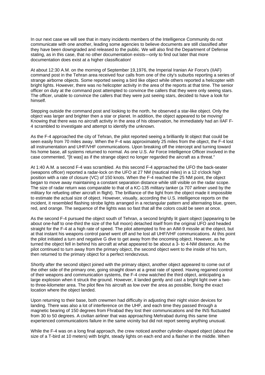In our next case we will see that in many incidents members of the Intelligence Community do not communicate with one another, leading some agencies to believe documents are still classified after they have been downgraded and released to the public. We will also find the Department of Defense stating, as in this case, that no other documentation exists—only to find out later that more documentation does exist at a higher classification!

At about 12:30 A.M. on the morning of September 19,1976, the Imperial Iranian Air Force's (IIAF) command post in the Tehran area received four calls from one of the city's suburbs reporting a series of strange airborne objects. Some reported seeing a bird like object while others reported a helicopter with bright lights. However, there was no helicopter activity in the area of the reports at that time. The senior officer on duty at the command post attempted to convince the callers that they were only seeing stars. The officer, unable to convince the callers that they were just seeing stars, decided to have a look for himself.

Stepping outside the command post and looking to the north, he observed a star-like object. Only the object was larger and brighter then a star or planet. In addition, the object appeared to be moving! Knowing that there was no aircraft activity in the area of his observation, he immediately had an IIAF F-4 scrambled to investigate and attempt to identify the unknown.

As the F-4 approached the city of Tehran, the pilot reported seeing a brilliantly lit object that could be seen easily from 70 miles away. When the F-4 was approximately 25 miles from the object, the F-4 lost all instrumentation and UHF/VHF communications. Upon breaking off the intercept and turning toward his home base, all systems returned to normal. As one U.S. Air Force Intelligence Officer involved in the case commented, "[It was] as if the strange object no longer regarded the aircraft as a threat."

At 1:40 A.M. a second F-4 was scrambled. As this second F-4 approached the UFO the back-seater (weapons officer) reported a radar-lock on the UFO at 27 NM (nautical miles) in a 12 o'clock high position with a rate of closure (VC) of 150 knots. When the F-4 reached the 25 NM point, the object began to move away maintaining a constant separation distance while still visible on the radar scope. The size of radar return was comparable to that of a KC-135 military tanker (a 707 airliner used by the military for refueling other aircraft in flight). The brilliance of the light from the object made it impossible to estimate the actual size of object. However, visually, according the U.S. intelligence reports on the incident, it resembled flashing strobe lights arranged in a rectangular pattern and alternating blue, green, red, and orange. The sequence of the lights was so fast that all the colors could be seen at once.

As the second F-4 pursued the object south of Tehran, a second brightly lit giant object (appearing to be about one-half to one-third the size of the full moon) detached itself from the original UFO and headed straight for the F-4 at a high rate of speed. The pilot attempted to fire an AIM-9 missile at the object, but at that instant his weapons control panel went off and he lost all UHF/VHF communications. At this point the pilot initiated a turn and negative G dive to get away from the oncoming object. However, as he turned the object fell in behind his aircraft at what appeared to be about a 3- to 4-NM distance. As the pilot continued to turn away from the primary object, the second object went to the inside of his turn, then returned to the primary object for a perfect rendezvous.

Shortly after the second object joined with the primary object, another object appeared to come out of the other side of the primary one, going straight down at a great rate of speed. Having regained control of their weapons and communication systems, the F-4 crew watched the third object, anticipating a large explosion when it struck the ground. However, it landed gently and cast a bright light over a twoto three-kilometer area. The pilot flew his aircraft as low over the area as possible, fixing the exact location where the object landed.

Upon returning to their base, both crewmen had difficulty in adjusting their night vision devices for landing. There was also a lot of interference on the UHF, and each time they passed through a magnetic bearing of 150 degrees from Fhrabad they lost their communications and the INS fluctuated from 30 to 50 degrees. A civilian airliner that was approaching Mehrabad during this same time experienced communications failure in the same vicinity but did not report seeing anything unusual.

While the F-4 was on a long final approach, the crew noticed another cylinder-shaped object (about the size of a T-bird at 10 meters) with bright, steady lights on each end and a flasher in the middle. When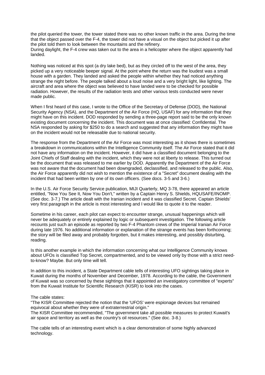the pilot queried the tower, the tower stated there was no other known traffic in the area. During the time that the object passed over the F-4, the tower did not have a visual on the object but picked it up after the pilot told them to look between the mountains and the refinery.

During daylight, the F-4 crew was taken out to the area in a helicopter where the object apparently had landed.

Nothing was noticed at this spot (a dry lake bed), but as they circled off to the west of the area, they picked up a very noticeable beeper signal. At the point where the return was the loudest was a small house with a garden. They landed and asked the people within whether they had noticed anything strange the night before. The people talked about a loud noise and a very bright light, like lighting. The aircraft and area where the object was believed to have landed were to be checked for possible radiation. However, the results of the radiation tests and other various tests conducted were never made public.

When I first heard of this case, I wrote to the Office of the Secretary of Defense (DOD), the National Security Agency (NSA), and the Department of the Air Force (HQ, USAF) for any information that they might have on this incident. DOD responded by sending a three-page report said to be the only known existing document concerning the incident. This document was at once classified: Confidential. The NSA responded by asking for \$250 to do a search and suggested that any information they might have on the incident would not be releasable due to national security.

The response from the Department of the Air Force was most interesting as it shows there is sometimes a breakdown in communications within the Intelligence Community itself. The Air Force stated that it did not have any information on the incident. However, it did have a classified document belonging to the Joint Chiefs of Staff dealing with the incident, which they were not at liberty to release. This turned out be the document that was released to me earlier by DOD. Apparently the Department of the Air Force was not aware that the document had been downgraded, declassified, and released to the public. Also, the Air Force apparently did not wish to mention the existence of a "Secret" document dealing with the incident that had been written by one of its own officers. (See docs. 3-5 and 3-6.)

In the U.S. Air Force Security Service publication, MIJI Quarterly, MQ 3-78, there appeared an article entitled, "Now You See It, Now You Don't," written by a Captain Henry S. Shields, HQUSAFE/INOMP. (See doc. 3-7.) The article dealt with the Iranian incident and it was classified Secret. Captain Shields' very first paragraph in the article is most interesting and I would like to quote it to the reader.

Sometime in his career, each pilot can expect to encounter strange, unusual happenings which will never be adequately or entirely explained by logic or subsequent investigation. The following article recounts just such an episode as reported by two F-4 Phantom crews of the Imperial Iranian Air Force during late 1976. No additional information or explanation of the strange events has been forthcoming; the story will be filed away and probably forgotten, but it makes interesting, and possibly disturbing, reading.

Is this another example in which the information concerning what our Intelligence Community knows about UFOs is classified Top Secret, compartmented, and to be viewed only by those with a strict needto-know? Maybe. But only time will tell.

In addition to this incident, a State Department cable tells of interesting UFO sightings taking place in Kuwait during the months of November and December, 1978. According to the cable, the Government of Kuwait was so concerned by these sightings that it appointed an investigatory committee of "experts" from the Kuwait Institute for Scientific Research (KISR) to look into the cases.

#### The cable states:

"The KISR Committee rejected the notion that the 'UFOS' were espionage devices but remained equivocal about whether they were of extraterrestrial origin."

The KISR Committee recommended, "The government take all possible measures to protect Kuwait's air space and territory as well as the country's oil resources." (See doc. 3-8.)

The cable tells of an interesting event which is a clear demonstration of some highly advanced technology.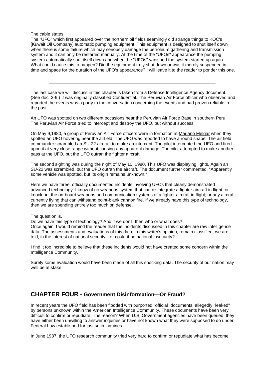The cable states:

The "UFO" which first appeared over the northern oil fields seemingly did strange things to KOC's [Kuwait Oil Company] automatic pumping equipment. This equipment is designed to shut itself down when there is some failure which may seriously damage the petroleum gathering and transmission system and it can only be restarted manually. At the time of the "UFOs" appearance the pumping system automatically shut itself down and when the "UFOs" vanished the system started up again. What could cause this to happen? Did the equipment truly shut down or was it merely suspended in time and space for the duration of the UFO's appearance? I will leave it to the reader to ponder this one.

The last case we will discuss in this chapter is taken from a Defense Intelligence Agency document. (See doc. 3-9.) It was originally classified Confidential. The Peruvian Air Force officer who observed and reported the events was a party to the conversation concerning the events and had proven reliable in the past.

An UFO was spotted on two different occasions near the Peruvian Air Force Base in southern Peru. The Peruvian Air Force tried to intercept and destroy the UFO, but without success.

On May 9,1980, a group of Peruvian Air Force officers were in formation at Mariano Melgar when they spotted an UFO hovering near the airfield. The UFO was reported to have a round shape. The air field commander scrambled an SU-22 aircraft to make an intercept. The pilot intercepted the UFO and fired upon it at very close range without causing any apparent damage. The pilot attempted to make another pass at the UFO, but the UFO outran the fighter aircraft.

The second sighting was during the night of May 10, 1980. This UFO was displaying lights. Again an SU-22 was scrambled, but the UFO outran the aircraft. The document further commented, "Apparently some vehicle was spotted, but its origin remains unknown."

Here we have three, officially documented incidents involving UFOs that clearly demonstrated advanced technology. I know of no weapons system that can disintegrate a fighter aircraft in flight; or knock out the on-board weapons and communication systems of a fighter aircraft in flight; or any aircraft currently flying that can withstand point-blank cannon fire. If we already have this type of technology, then we are spending entirely too much on defense.

The question is,

Do we have this type of technology? And if we don't, then who or what does? Once again, I would remind the reader that the incidents discussed in this chapter are raw intelligence data. The assessments and evaluations of this data, in this writer's opinion, remain classified, we are told, in the interest of national security—or could it be national insecurity?

I find it too incredible to believe that these incidents would not have created some concern within the Intelligence Community.

Surely some evaluation would have been made of all this shocking data. The security of our nation may well be at stake.

## **CHAPTER FOUR - Government Disinformation—Or Fraud?**

In recent years the UFO field has been flooded with purported "official" documents, allegedly "leaked" by persons unknown within the American Intelligence Community. These documents have been very difficult to confirm or repudiate. The reason? When U.S. Government agencies have been queried, they have either been unwilling to answer inquiries or have not known what they were supposed to do under Federal Law established for just such inquiries.

In June 1987, the UFO research community tried very hard to confirm or repudiate what has become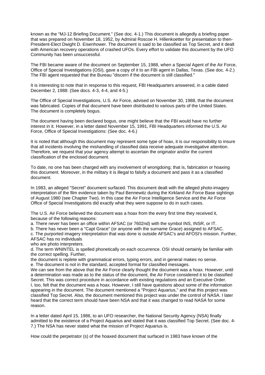known as the "MJ-12 Briefing Document." (See doc. 4-1.) This document is allegedly a briefing paper that was prepared on November 18, 1952, by Admiral Roscoe H. Hillenkoetter for presentation to then-President-Elect Dwight D. Eisenhower. The document is said to be classified as Top Secret, and it dealt with American recovery operations of crashed UFOs. Every effort to validate this document by the UFO Community has been unsuccessful.

The FBI became aware of the document on September 15, 1988, when a Special Agent of the Air Force, Office of Special Investigations (OSI), gave a copy of it to an FBI agent in Dallas, Texas. (See doc. 4-2.) The FBI agent requested that the Bureau "discern if the document is still classified."

It is interesting to note that in response to this request, FBI Headquarters answered, in a cable dated December 2, 1988: (See docs. 4-3, 4-4, and 4-5.)

The Office of Special Investigations, U.S. Air Force, advised on November 30, 1988, that the document was fabricated. Copies of that document have been distributed to various parts of the United States. The document is completely bogus.

The document having been declared bogus, one might believe that the FBI would have no further interest in it. However, in a letter dated November 15, 1991, FBI Headquarters informed the U.S. Air Force, Office of Special Investigations: (See doc. 4-6.)

It is noted that although this document may represent some type of hoax, it is our responsibility to insure that all incidents involving the mishandling of classified data receive adequate investigative attention. Therefore, we request that your agency attempt to ascertain the originator and/or the current classification of the enclosed document.

To date, no one has been charged with any involvement of wrongdoing; that is, fabrication or hoaxing this document. Moreover, in the military it is illegal to falsify a document and pass it as a classified document.

In 1983, an alleged "Secret" document surfaced. This document dealt with the alleged photo-imagery interpretation of the film evidence taken by Paul Bennewitz during the Kirkland Air Force Base sightings of August 1980 (see Chapter Two). In this case the Air Force Intelligence Service and the Air Force Office of Special Investigations did exactly what they were suppose to do in such cases.

The U.S. Air Force believed the document was a hoax from the every first time they received it, because of the following reasons:

a. There never has been an office within AFSAC (or 7602nd) with the symbol INS, INSR, or IT.

b. There has never been a "Capt Grace" (or anyone with the surname Grace) assigned to AFSAC. c. The purported imagery interpretation that was done is outside AFSAC's and AFOSI's mission. Further, AFSAC has no individuals

who are photo interpreters.

d. The term WNINTEL is spelled phonetically on each occurrence. OSI should certainly be familiar with the correct spelling. Further,

the document is replete with grammatical errors, typing errors, and in general makes no sense. e. The document is not in the standard, accepted format for classified messages.

We can see from the above that the Air Force clearly thought the document was a hoax. However, until a determination was made as to the status of the document, the Air Force considered it to be classified Secret. This was correct procedure in accordance with existing regulations and an Executive Order. I, too, felt that the document was a hoax. However, I still have questions about some of the information appearing in the document. The document mentioned a "Project Aquarius," and that this project was classified Top Secret. Also, the document mentioned this project was under the control of NASA. I later heard that the correct term should have been NSA and that it was changed to read NASA for some reason.

In a letter dated April 15, 1986, to an UFO researcher, the National Security Agency (NSA) finally admitted to the existence of a Project Aquarius and stated that it was classified Top Secret. (See doc. 4- 7.) The NSA has never stated what the mission of Project Aquarius is.

How could the perpetrator (s) of the hoaxed document that surfaced in 1983 have known of the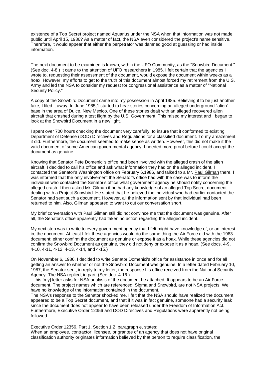existence of a Top Secret project named Aquarius under the NSA when that information was not made public until April 15, 1986? As a matter of fact, the NSA even considered the project's name sensitive. Therefore, it would appear that either the perpetrator was damned good at guessing or had inside information.

The next document to be examined is known, within the UFO Community, as the "Snowbird Document." (See doc. 4-8.) It came to the attention of UFO researchers in 1985. I felt certain that the agencies I wrote to, requesting their assessment of the document, would expose the document within weeks as a hoax. However, my efforts to get to the truth of this document almost forced my retirement from the U.S. Army and led the NSA to consider my request for congressional assistance as a matter of "National Security Policy."

A copy of the Snowbird Document came into my possession in April 1985. Believing it to be just another fake, I filed it away. In June 1985,1 started to hear stories concerning an alleged underground "alien" base in the area of Dulce, New Mexico. One of these stories dealt with an alleged recovered alien aircraft that crashed during a test flight by the U.S. Government. This raised my interest and I began to look at the Snowbird Document in a new light.

I spent over 700 hours checking the document very carefully, to insure that it conformed to existing Department of Defense (DOD) Directives and Regulations for a classified document. To my amazement, it did. Furthermore, the document seemed to make sense as written. However, this did not make it the valid document of some American governmental agency. I needed more proof before I could accept the document as genuine.

Knowing that Senator Pete Domenici's office had been involved with the alleged crash of the alien aircraft, I decided to call his office and ask what information they had on the alleged incident. I contacted the Senator's Washington office on February 6,1986, and talked to a Mr. Paul Gilrnan there. I was informed that the only involvement the Senator's office had with the case was to inform the individual who contacted the Senator's office what government agency he should notify concerning the alleged crash. I then asked Mr. Gilman if he had any knowledge of an alleged Top Secret document dealing with a Project Snowbird. He stated that he believed the individual who had earlier contacted the Senator had sent such a document. However, all the information sent by that individual had been returned to him. Also, Gilman appeared to want to cut our conversation short.

My brief conversation with Paul Gilman still did not convince me that the document was genuine. After all, the Senator's office apparently had taken no action regarding the alleged incident.

My next step was to write to every government agency that I felt might have knowledge of, or an interest in, the document. At least I felt these agencies would do the same thing the Air Force did with the 1983 document: either confirm the document as genuine or expose it as a hoax. While these agencies did not confirm the Snowbird Document as genuine, they did not deny or expose it as a hoax. (See docs. 4-9, 4-10, 4-11, 4-12, 4-13, 4-14, and 4-15.)

On November 6, 1986, I decided to write Senator Domenici's office for assistance in once and for all getting an answer to whether or not the Snowbird Document was genuine. In a letter dated February 10, 1987, the Senator sent, in reply to my letter, the response his office received from the National Security Agency. The NSA replied, in part: (See doc. 4-16.)

... his [my] letter asks for NSA analysis of the document he attached. It appears to be an Air Force document. The project names which are referenced, Sigma and Snowbird, are not NSA projects. We have no knowledge of the information contained in the document.

The NSA's response to the Senator shocked me. I felt that the NSA should have realized the document appeared to be a Top Secret document, and that if it was in fact genuine, someone had a security leak since the document does not appear to have been released under the Freedom of Information Act. Furthermore, Executive Order 12356 and DOD Directives and Regulations were apparently not being followed.

Executive Order 12356, Part 1, Section 1.2, paragraph e, states:

When an employee, contractor, licensee, or grantee of an agency that does not have original classification authority originates information believed by that person to require classification, the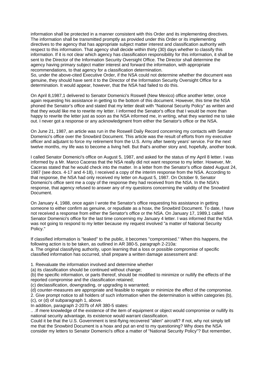information shall be protected in a manner consistent with this Order and its implementing directives. The information shall be transmitted promptly as provided under this Order or its implementing directives to the agency that has appropriate subject matter interest and classification authority with respect to this information. That agency shall decide within thirty (30) days whether to classify this information. If it is not clear which agency has classification responsibility for this information, it shall be sent to the Director of the Information Security Oversight Office. The Director shall determine the agency having primary subject matter interest and forward the information, with appropriate recommendations, to that agency for a classification determination.

So, under the above-cited Executive Order, if the NSA could not determine whether the document was genuine, they should have sent it to the Director of the Information Security Oversight Office for a determination. It would appear, however, that the NSA had failed to do this.

On April 8,1987,1 delivered to Senator Domenici's Roswell (New Mexico) office another letter, once again requesting his assistance in getting to the bottom of this document. However, this time the NSA phoned the Senator's office and stated that my letter dealt with "National Security Policy" as written and that they would like me to rewrite my letter. I informed the Senator's office that I would be more than happy to rewrite the letter just as soon as the NSA informed me, in writing, what they wanted me to take out. I never got a response or any acknowledgment from either the Senator's office or the NSA.

On June 21, 1987, an article was run in the Roswell Daily Record concerning my contacts with Senator Domenici's office over the Snowbird Document. This article was the result of efforts from my executive officer and adjutant to force my retirement from the U.S. Army after twenty years' service. For the next twelve months, my life was to become a living hell. But that's another story and, hopefully, another book.

I called Senator Domenici's office on August 5, 1987, and asked for the status of my April 8 letter. I was informed by a Mr. Marco Caceras that the NSA really did not want response to my letter. However, Mr. Caceras stated that he would check into the matter. In a letter from the Senator's office dated August 24, 1987 (see docs. 4-17 and 4-18), I received a copy of the interim response from the NSA. According to that response, the NSA had only received my letter on August 5, 1987. On October 9, Senator Domenici's office sent me a copy of the response they had received from the NSA. In the NSA's response, that agency refused to answer any of my questions concerning the validity of the Snowbird Document.

On January 4, 1988, once again I wrote the Senator's office requesting his assistance in getting someone to either confirm as genuine, or repudiate as a hoax, the Snowbird Document. To date, I have not received a response from either the Senator's office or the NSA. On January 17, 1989,1 called Senator Domenici's office for the last time concerning my January 4 letter. I was informed that the NSA was not going to respond to my letter because my request involved "a matter of National Security Policy."

If classified information is "leaked" to the public, it becomes "compromised." When this happens, the following action is to be taken, as outlined in AR 380-5, paragraph 2-210a:

a. The original classifying authority, upon learning that a loss or possible compromise of specific classified information has occurred, shall prepare a written damage assessment and:

1. Reevaluate the information involved and determine whether

(a) its classification should be continued without change;

(b) the specific information, or parts thereof, should be modified to minimize or nullify the effects of the reported compromise and the classification retained;

(c) declassification, downgrading, or upgrading is warranted;

(d) counter-measures are appropriate and feasible to negate or minimize the effect of the compromise. 2. Give prompt notice to all holders of such information when the determination is within categories (b), (c), or (d) of subparagraph 1, above.

In addition, paragraph 2-207b of AR 380-5 states:

.. .If mere knowledge of the existence of the item of equipment or object would compromise or nullify its national security advantage, its existence would warrant classification.

Could it be that the U.S. Government is test-flying recovered "alien" aircraft? If not, why not simply tell me that the Snowbird Document is a hoax and put an end to my questioning? Why does the NSA consider my letters to Senator Domenici's office a matter of "National Security Policy"? But remember,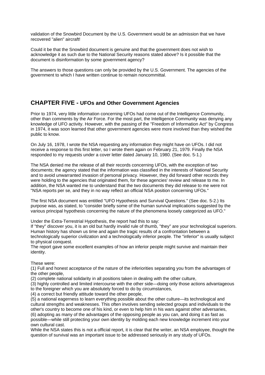validation of the Snowbird Document by the U.S. Government would be an admission that we have recovered "alien" aircraft!

Could it be that the Snowbird document is genuine and that the government does not wish to acknowledge it as such due to the National Security reasons stated above? Is it possible that the document is disinformation by some government agency?

The answers to those questions can only be provided by the U.S. Government. The agencies of the government to which I have written continue to remain noncommittal.

#### **CHAPTER FIVE - UFOs and Other Government Agencies**

Prior to 1974, very little information concerning UFOs had come out of the Intelligence Community, other than comments by the Air Force. For the most part, the Intelligence Community was denying any knowledge of UFO activity. However, with the passing of the "Freedom of Information Act" by Congress in 1974, it was soon learned that other government agencies were more involved than they wished the public to know.

On July 16, 1978, I wrote the NSA requesting any information they might have on UFOs. I did not receive a response to this first letter, so I wrote them again on February 21, 1979. Finally the NSA responded to my requests under a cover letter dated January 10, 1980. (See doc. 5-1.)

The NSA denied me the release of all their records concerning UFOs, with the exception of two documents; the agency stated that the information was classified in the interests of National Security and to avoid unwarranted invasion of personal privacy. However, they did forward other records they were holding to the agencies that originated them, for these agencies' review and release to me. In addition, the NSA wanted me to understand that the two documents they did release to me were not "NSA reports per se, and they in no way reflect an official NSA position concerning UFOs."

The first NSA document was entitled "UFO Hypothesis and Survival Questions." (See doc. 5-2.) Its purpose was, as stated, to "consider briefly some of the human survival implications suggested by the various principal hypothesis concerning the nature of the phenomena loosely categorized as UFO."

Under the Extra-Terrestrial Hypothesis, the report had this to say:

If "they" discover you, it is an old but hardly invalid rule of thumb, "they" are your technological superiors. Human history has shown us time and again the tragic results of a confrontation between a technologically superior civilization and a technologically inferior people. The "inferior" is usually subject to physical conquest.

The report gave some excellent examples of how an inferior people might survive and maintain their identity.

These were:

(1) Full and honest acceptance of the nature of the inferiorities separating you from the advantages of the other people,

(2) complete national solidarity in all positions taken in dealing with the other culture,

(3) highly controlled and limited intercourse with the other side—doing only those actions advantageous to the foreigner which you are absolutely forced to do by circumstances,

(4) a correct but friendly attitude toward the other people,

(5) a national eagerness to learn everything possible about the other culture—its technological and cultural strengths and weaknesses. This often involves sending selected groups and individuals to the other's country to become one of his kind, or even to help him in his wars against other adversaries, (6) adopting as many of the advantages of the opposing people as you can, and doing it as fast as possible—while still protecting your own identity by molding each new knowledge increment into your own cultural cast.

While the NSA states this is not a official report, it is clear that the writer, an NSA employee, thought the question of survival was an important issue to be addressed seriously in any study of UFOs.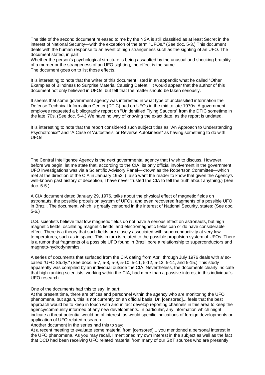The title of the second document released to me by the NSA is still classified as at least Secret in the interest of National Security—with the exception of the term "UFOs." (See doc. 5-3.) This document deals with the human response to an event of high strangeness such as the sighting of an UFO. The document stated, in part:

Whether the person's psychological structure is being assaulted by the unusual and shocking brutality of a murder or the strangeness of an UFO sighting, the effect is the same. The document goes on to list those effects.

It is interesting to note that the writer of this document listed in an appendix what he called "Other Examples of Blindness to Surprise Material Causing Defeat." It would appear that the author of this document not only believed in UFOs, but felt that the matter should be taken seriously.

It seems that some government agency was interested in what type of unclassified information the Defense Technical Information Center (DTIC) had on UFOs in the mid to late 1970s. A government employee requested a bibliography report on "Unidentified Flying Saucers" from the DTIC sometime in the late '70s. (See doc. 5-4.) We have no way of knowing the exact date, as the report is undated.

It is interesting to note that the report considered such subject titles as "An Approach to Understanding Psychotronics" and "A Case of 'Autostasis' or Reverse Autokinesis" as having something to do with UFOs.

The Central Intelligence Agency is the next governmental agency that I wish to discuss. However, before we begin, let me state that, according to the CIA, its only official involvement in the government UFO investigations was via a Scientific Advisory Panel—known as the Robertson Committee—which met at the direction of the CIA in January 1953. (I also want the reader to know that given the Agency's well-known past history of deception, I have never trusted the CIA to tell the truth about anything.) (See doc. 5-5.)

A CIA document dated January 29, 1976, talks about the physical effect of magnetic fields on astronauts, the possible propulsion system of UFOs, and even recovered fragments of a possible UFO in Brazil. The document, which is greatly censored in the interest of National Security, states: (See doc. 5-6.)

U.S. scientists believe that low magnetic fields do not have a serious effect on astronauts, but high magnetic fields, oscillating magnetic fields, and electromagnetic fields can or do have considerable effect. There is a theory that such fields are closely associated with superconductivity at very low temperatures, such as in space. This in turn is related to the possible propulsion system of UFOs. There is a rumor that fragments of a possible UFO found in Brazil bore a relationship to superconductors and magneto-hydrodynamics.

A series of documents that surfaced from the CIA dating from April through July 1976 deals with a' socalled "UFO Study." (See docs. 5-7, 5-8, 5-9, 5-10, 5-11, 5-12, 5-13, 5-14, and 5-15.) This study apparently was compiled by an individual outside the CIA. Nevertheless, the documents clearly indicate that high-ranking scientists, working within the CIA, had more than a passive interest in this individual's UFO research.

One of the documents had this to say, in part:

At the present time, there are offices and personnel within the agency who are monitoring the UFO phenomena, but again, this is not currently on an official basis, Dr. [censored]... feels that the best approach would be to keep in touch with and in fact develop reporting channels in this area to keep the agency/community informed of any new developments. In particular, any information which might indicate a threat potential would be of interest, as would specific indications of foreign developments or application of UFO related research.

Another document in the series had this to say:

At a recent meeting to evaluate some material from [censored]... you mentioned a personal interest in the UFO phenomena. As you may recall, I mentioned my own interest in the subject as well as the fact that DCD had been receiving UFO related material from many of our S&T sources who are presently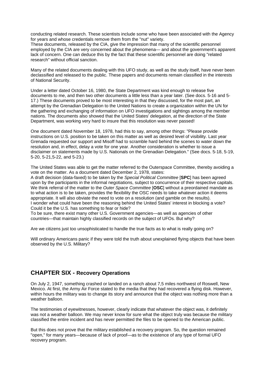conducting related research. These scientists include some who have been associated with the Agency for years and whose credentials remove them from the "nut" variety.

These documents, released by the CIA, give the impression that many of the scientific personnel employed by the CIA are very concerned about the phenomena— and about the government's apparent lack of concern. One can deduce this by the fact that these scientific personnel are doing "related research" without official sanction.

Many of the related documents dealing with this UFO study, as well as the study itself, have never been declassified and released to the public. These papers and documents remain classified in the interests of National Security.

Under a letter dated October 16, 1980, the State Department was kind enough to release five documents to me, and then two other documents a little less than a year later. (See docs. 5-16 and 5- 17.) These documents proved to be most interesting in that they discussed, for the most part, an attempt by the Grenadian Delegation to the United Nations to create a organization within the UN for the gathering and exchanging of information on UFO investigations and sightings among the member nations. The documents also showed that the United States' delegation, at the direction of the State Department, was working very hard to insure that this resolution was never passed!

One document dated November 18, 1978, had this to say, among other things: "Please provide instructions on U.S. position to be taken on this matter as well as desired level of visibility. Last year Grenada requested our support and Misoff had to scramble hard behind the scenes to water down the resolution and, in effect, delay a vote for one year. Another consideration is whether to issue a disclaimer on statements made by U.S. Nationals on the Grenadian Delegation." (See docs. 5-18, 5-19, 5-20, 5-21,5-22, and 5-23.)

The United States was able to get the matter referred to the Outerspace Committee, thereby avoiding a vote on the matter. As a document dated December 2, 1978, states:

A draft decision (data-faxed) to be taken by the *Special Political Committee* [**SPC**] has been agreed upon by the participants in the informal negotiations, subject to concurrence of their respective capitals. We think referral of the matter to the *Outer Space Committee* [**OSC**] without a preordained mandate as to what action is to be taken, provides the flexibility the OSC needs to take whatever action it deems appropriate. It will also obviate the need to vote on a resolution (and gamble on the results). I wonder what could have been the reasoning behind the United States' interest in blocking a vote? Could it be the U.S. has something to fear or hide?

To be sure, there exist many other U.S. Government agencies—as well as agencies of other countries—that maintain highly classified records on the subject of UFOs. But why?

Are we citizens just too unsophisticated to handle the true facts as to what is really going on?

Will ordinary Americans panic if they were told the truth about unexplained flying objects that have been observed by the U.S. Military?

#### **CHAPTER SIX - Recovery Operations**

On July 2, 1947, something crashed or landed on a ranch about 7,5 miles northwest of Roswell, New Mexico. At first, the Army Air Force stated to the media that they had recovered a flying disk. However, within hours the military was to change its story and announce that the object was nothing more than a weather balloon.

The testimonies of eyewitnesses, however, clearly indicate that whatever the object was, it definitely was not a weather balloon. We may never know for sure what the object truly was because the military classified the entire incident and has never permitted the files to be opened to the American public.

But this does not prove that the military established a recovery program. So, the question remained "open," for many years—because of lack of proof—as to the existence of any type of formal UFO recovery program.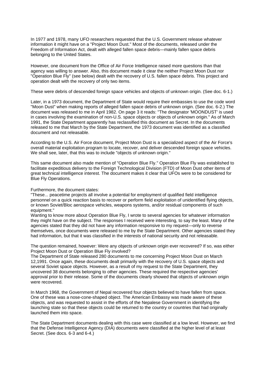In 1977 and 1978, many UFO researchers requested that the U.S. Government release whatever information it might have on a "Project Moon Dust." Most of the documents, released under the Freedom of Information Act, dealt with alleged fallen space debris—mainly fallen space debris belonging to the United States.

However, one document from the Office of Air Force Intelligence raised more questions than that agency was willing to answer. Also, this document made it clear the neither Project Moon Dust nor "Operation Blue Fly" (see below) dealt with the recovery of U.S. fallen space debris. This project and operation dealt with the recovery of only two items.

These were debris of descended foreign space vehicles and objects of unknown origin. (See doc. 6-1.)

Later, in a 1973 document, the Department of State would require their embassies to use the code word "Moon Dust" when making reports of alleged fallen space debris of unknown origin. (See doc. 6-2.) The document was released to me in April 1982. On page 3 it reads: "The designator 'MOONDUST' is used in cases involving the examination of non-U.S. space objects or objects of unknown origin." As of March 1991, the State Department apparently has reclassified this document as Secret. In the documents released to me that March by the State Department, the 1973 document was identified as a classified document and not releasable.

According to the U.S. Air Force document, Project Moon Dust is a specialized aspect of the Air Force's overall material exploitation program to locate, recover, and deliver descended foreign space vehicles. We shall see, later, that this was to include "objects of unknown origin."

This same document also made mention of "Operation Blue Fly." Operation Blue Fly was established to facilitate expeditious delivery to the Foreign Technological Division (FTD) of Moon Dust other items of great technical intelligence interest. The document makes it clear that UFOs were to be considered for Blue Fly Operations.

#### Furthermore, the document states:

"These... peacetime projects all involve a potential for employment of qualified field intelligence personnel on a quick reaction basis to recover or perform field exploitation of unidentified flying objects, or known Soviet/Bloc aerospace vehicles, weapons systems, and/or residual components of such equipment."

Wanting to know more about Operation Blue Fly, I wrote to several agencies for whatever information they might have on the subject. The responses I received were interesting, to say the least. Many of the agencies stated that they did not have any information responsive to my request—only to reverse themselves, once documents were released to me by the State Department. Other agencies stated they had information, but that it was classified in the interests of national security and not releasable.

The question remained, however: Were any objects of unknown origin ever recovered? If so, was either Project Moon Dust or Operation Blue Fly involved?

The Department of State released 280 documents to me concerning Project Moon Dust on March 12,1991. Once again, these documents dealt primarily with the recovery of U.S. space objects and several Soviet space objects. However, as a result of my request to the State Department, they uncovered 38 documents belonging to other agencies. These required the respective agencies' approval prior to their release. Some of the documents clearly showed that objects of unknown origin were recovered.

In March 1968, the Government of Nepal recovered four objects believed to have fallen from space. One of these was a nose-cone-shaped object. The American Embassy was made aware of these objects, and was requested to assist in the efforts of the Nepalese Government in identifying the launching state so that these objects could be returned to the country or countries that had originally launched them into space.

The State Department documents dealing with this case were classified at a low level. However, we find that the Defense Intelligence Agency (DIA) documents were classified at the higher level of at least Secret. (See docs. 6-3 and 6-4.)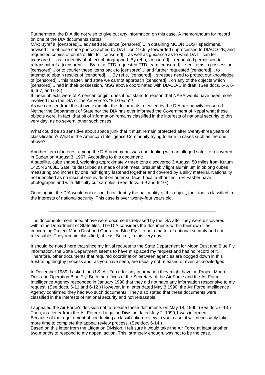Furthermore, the DIA did not wish to give out any information on this case, A memorandum for record on one of the DIA documents states:

M/R: Byref a, [censored]... advised sequence [censored]... in obtaining MOON DUST specimens, advised film of nose cone photographed by DATT on 19 July forwarded unprocessed to DIACO-2B, and requested copies of prints of film for [censored]... as well as guidance as to what DATT can tell [censored]... as to identity of object photographed. By ref b, [censored]... requested permission to retransmit ref a [censored]... . By ref c, FTD requested FTD team [censored]... see items in possession [censored]... or to courier these items back to [censored]... and further requested [censored]... to attempt to obtain results of [censored]... . By ref e, [censored]... stresses need to protect our knowledge of [censored]... this matter, and state we cannot approach [censored]... on any of the objects which [censored]... had in their possession. MSG above coordinated with DIACO-D in draft. (See docs. 6-5, 6- 6, 6-7, and 6-8.)

If these objects were of American origin, does it not stand to reason that NASA would have been more involved than the DIA or the Air Force's "FID team"?

As we can see from the above example, the documents released by the DIA are heavily censored. Neither the Department of State nor the DIA has ever informed the Government of Nepal what these objects were. In fact, that bit of information remains classified in the interests of national security to this very day, as do several other such cases.

What could be so sensitive about space junk that it must remain protected after twenty-three years of classification? What is the American Intelligence Community trying to hide in cases such as the one above?

Another item of interest among the DIA documents was one dealing with an alleged satellite recovered in Sudan on August 3, 1967. According to this document:

A satellite, cube shaped, weighing approximately three tons discovered 3 August, 50 miles from Kutum 1425N 2460E. Satellite described as made of soft metal presumably light aluminium in oblong cubes measuring two inches by one inch tightly fastened together and covered by a silky material. Nationality not identified as no inscriptions evident on outer surface. Local authorities in El Fasher have photographs and with difficulty cut samples. (See docs. 6-9 and 6-10.)

Once again, the DIA would not or could not identify the nationality of this object, for it too is classified in the interests of national security. This case is over twenty-four years old.

The documents mentioned above were documents released by the DIA after they were discovered within the Department of State files. The DIA considers the documents within their own files concerning Project Moon Dust and Operation Blue Fly—to be a matter of national security and not releasable. They remain classified, at least Secret, to this very day.

It should be noted here that since my initial request to the State Department for Moon Dust and Blue Fly information, the State Department seems to have misplaced my request and has no record of it. Therefore, other documents that required coordination between agencies are bogged down in this frustrating lengthy process and, as you have seen, are usually not released or even acknowledged.

In December 1989, I asked the U.S. Air Force for any information they might have on Project Moon Dust and Operation Blue Fly. Both the offices of the Secretary of the Air Force and the Air Force Intelligence Agency responded in January 1990 that they did not nave any information responsive to my request. (See docs. 6-11 and 6-12.) However, in a letter dated May 3,1990, the Air Force Intelligence Agency confirmed they had two such documents. They also stated that these documents were classified in the interests of national security and not releasable.

I appealed the Air Force's decision not to release these documents on May 18, 1990. (See doc. 6-13.) Then, in a letter from the Air Force's Litigation Division dated July 2, 1990,1 was informed: Because of the requirement of conducting a classification review in your case, it will necessarily take more time to complete the appeal review process. (See doc. 6-14.) Based on this letter from the Litigation Division, I felt sure it would take the Air Force at least another two months to respond to my appeal action. This, strangely enough, was not to be the case.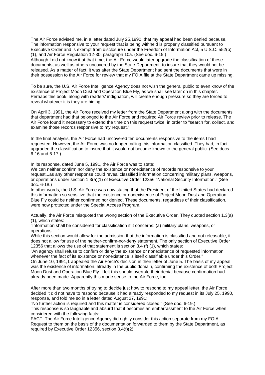The Air Force advised me, in a letter dated July 25,1990, that my appeal had been denied because, The information responsive to your request that is being withheld is properly classified pursuant to Executive Order and is exempt from disclosure under the Freedom of Information Act, 5 U.S.C. 552(b) (1), and Air Force Regulation 12-30, paragraph 10a. (See doc. 6-15.)

Although I did not know it at that time, the Air Force would later upgrade the classification of these documents, as well as others uncovered by the State Department, to insure that they would not be released. As a matter of fact, it was after the State Department had sent the documents that were in their possession to the Air Force for review that my FOIA file at the State Department came up missing.

To be sure, the U.S. Air Force Intelligence Agency does not wish the general public to even know of the existence of Project Moon Dust and Operation Blue Fly, as we shall see later on in this chapter. Perhaps this book, along with readers' indignation, will create enough pressure so they are forced to reveal whatever it is they are hiding.

On April 3, 1991, the Air Force received my letter from the State Department along with the documents that department had that belonged to the Air Force and required Air Force review prior to release. The Air Force found it necessary to extend the time on this request twice, in order to "search for, collect, and examine those records responsive to my request."

In the final analysis, the Air Force had uncovered ten documents responsive to the items I had requested. However, the Air Force was no longer calling this information classified. They had, in fact, upgraded the classification to insure that it would not become known to the general public. (See docs. 6-16 and 6-17.)

In its response, dated June 5, 1991, the Air Force was to state:

We can neither confirm nor deny the existence or nonexistence of records responsive to your request...as any other response could reveal classified information concerning military plans, weapons, or operations under section 1.3(a)(1) of Executive Order 12356 "National Security Information." (See doc. 6-18.)

In other words, the U.S. Air Force was now stating that the President of the United States had declared this information so sensitive that the existence or nonexistence of Project Moon Dust and Operation Blue Fly could be neither confirmed nor denied. These documents, regardless of their classification, were now protected under the Special Access Program.

Actually, the Air Force misquoted the wrong section of the Executive Order. They quoted section 1.3(a) (1), which states:

"Information shall be considered for classification if it concerns: (a) military plans, weapons, or operations... ."

While this section would allow for the admission that the information is classified and not releasable, it does not allow for use of the neither-confirm-nor-deny statement. The only section of Executive Order 12356 that allows the use of that statement is section 3.4 (f) (1), which states:

"An agency shall refuse to confirm or deny the existence or nonexistence of requested information whenever the fact of its existence or nonexistence is itself classifiable under this Order."

On June 10, 1991,1 appealed the Air Force's decision in their letter of June 5. The basis of my appeal was the existence of information, already in the public domain, confirming the existence of both Project Moon Dust and Operation Blue Fly. I felt this should overrule their denial because confirmation had already been made. Apparently this made sense to the Air Force, too.

After more than two months of trying to decide just how to respond to my appeal letter, the Air Force decided it did not have to respond because it had already responded to my request in its July 25, 1990, response, and told me so in a letter dated August 27, 1991:

"No further action is required and this matter is considered closed." (See doc. 6-19.) This response is so laughable and absurd that it becomes an embarrassment to the Air Force when considered with the following facts:

FACT: The Air Force Intelligence Agency did rightly consider this action separate from my FOIA Request to them on the basis of the documentation forwarded to them by the State Department, as required by Executive Order 12356, section 3.4(f)(2).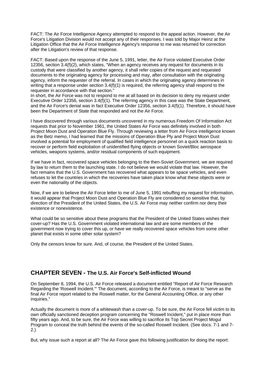FACT: The Air Force Intelligence Agency attempted to respond to the appeal action. However, the Air Force's Litigation Division would not accept any of their responses. I was told by Major Heinz at the Litigation Office that the Air Force Intelligence Agency's response to me was returned for correction after the Litigation's review of that response.

FACT: Based upon the response of the June 5, 1991, letter, the Air Force violated Executive Order 12356, section 3.4(f)(2), which states, "When an agency receives any request for documents in its custody that were classified by another agency, it shall refer copies of the request and requested documents to the originating agency for processing and may, after consultation with the originating agency, inform the requester of the referral. In cases in which the originating agency determines in writing that a response under section 3.4(f)(1) is required, the referring agency shall respond to the requester in accordance with that section."

In short, the Air Force was not to respond to me at all based on its decision to deny my request under Executive Order 12356, section 3.4(f)(1). The referring agency in this case was the State Department, and the Air Force's denial was in fact Executive Order 12356, section 3.4(f)(1). Therefore, it should have been the Department of State that responded and not the Air Force.

I have discovered through various documents uncovered in my numerous Freedom Of Information Act requests that prior to November 1961, the United States Air Force was definitely involved in both Project Moon Dust and Operation Blue Fly. Through reviewing a letter from Air Force intelligence known as the Betz memo, I had learned that the missions of Operation Blue Ply and Project Moon Dust involved a potential for employment of qualified field intelligence personnel on a quick reaction basis to recover or perform field exploitation of unidentified flying objects or known Soviet/Bloc aerospace vehicles, weapons systems, and/or residual components of such equipment.

If we have in fact, recovered space vehicles belonging to the then-Soviet Government, we are required by law to return them to the launching state. I do not believe we would violate that law. However, the fact remains that the U.S. Government has recovered what appears to be space vehicles, and even refuses to let the countries in which the recoveries have taken place know what these objects were or even the nationality of the objects.

Now, if we are to believe the Air Force letter to me of June 5, 1991 rebuffing my request for information, it would appear that Project Moon Dust and Operation Blue Fly are considered so sensitive that, by direction of the President of the United States, the U.S. Air Force may neither confirm nor deny their existence or nonexistence.

What could be so sensitive about these programs that the President of the United States wishes their cover-up? Has the U.S. Government violated international law and are some members of the government now trying to cover this up, or have we really recovered space vehicles from some other planet that exists in some other solar system?

Only the censors know for sure. And, of course, the President of the United States.

## **CHAPTER SEVEN - The U.S. Air Force's Self-inflicted Wound**

On September 8, 1994, the U.S. Air Force released a document entitled "Report of Air Force Research Regarding the 'Roswell Incident.'" The document, according to the Air Force, is meant to "serve as the final Air Force report related to the Roswell matter, for the General Accounting Office, or any other inquiries."

Actually the document is more of a whitewash than a cover-up. To be sure, the Air Force fell victim to its own officially sanctioned deception program concerning the "Roswell Incident," put in place more than fifty years ago. And, to be sure, the Air Force was willing to sacrifice its Top Secret Project Mogul Program to conceal the truth behind the events of the so-called Roswell Incident. (See docs. 7-1 and 7- 2.)

But, why issue such a report at all? The Air Force gave this following justification for doing the report: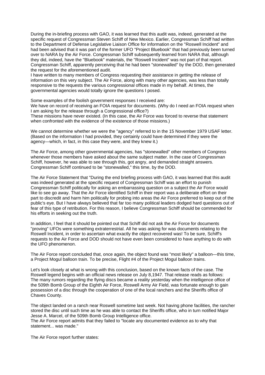During the in-briefing process with GAO, it was learned that this audit was, indeed, generated at the specific request of Congressman Steven Schiff of New Mexico. Earlier, Congressman Schiff had written to the Department of Defense Legislative Liaison Office for information on the "Roswell Incident" and had been advised that it was part of the former UFO "Project Bluebook" that had previously been turned over to NARA by the Air Force. Congressman Schiff subsequently learned from NARA that, although they did, indeed, have the "Bluebook" materials, the "Roswell Incident" was not part of that report. Congressman Schiff, apparently perceiving that he had been "stonewalled" by the DOD, then generated the request for the aforementioned audit.

I have written to many members of Congress requesting their assistance in getting the release of information on this very subject. The Air Force, along with many other agencies, was less than totally responsive to the requests the various congressional offices made in my behalf. At times, the governmental agencies would totally ignore the questions I posed.

Some examples of the foolish government responses I received are:

We have on record of receiving an FOIA request for documents. (Why do I need an FOIA request when I am asking for the release through a Congressional office?)

These missions have never existed. (In this case, the Air Force was forced to reverse that statement when confronted with the evidence of the existence of those missions.)

We cannot determine whether we were the "agency" referred to in the 15 November 1979 USAF letter. (Based on the information I had provided, they certainly could have determined if they were the agency—which, in fact, in this case they were, and they knew it.)

The Air Force, among other governmental agencies, has "stonewalled" other members of Congress whenever those members have asked about the same subject matter. In the case of Congressman Schiff, however, he was able to see through this, got angry, and demanded straight answers. Congressman Schiff continued to be "stonewalled," this time, by the DOD.

The Air Force Statement that "During the end briefing process with GAO, it was learned that this audit was indeed generated at the specific request of Congressman Schiff was an effort to punish Congressman Schiff politically for asking an embarrassing question on a subject the Air Force would like to see go away. That the Air Force identified Schiff in their report was a deliberate effort on their part to discredit and harm him politically for probing into areas the Air Force preferred to keep out of the public's eye. But I have always believed that far too many political leaders dodged hard questions out of fear of this type of retribution. For this reason, I believe Congressman Schiff should be commended for his efforts in seeking out the truth.

In addition, I feel that it should be pointed out that Schiff did not ask the Air Force for documents "proving" UFOs were something extraterrestrial. All he was asking for was documents relating to the Roswell Incident, in order to ascertain what exactly the object recovered was! To be sure, Schiff's requests to the Air Force and DOD should not have even been considered to have anything to do with the UFO phenomenon.

The Air Force report concluded that, once again, the object found was "most likely" a balloon—this time, a Project Mogul balloon train. To be precise, Flight #4 of the Project Mogul balloon trains.

Let's look closely at what is wrong with this conclusion, based on the known facts of the case. The Roswell legend begins with an official news release on July 8,1947. That release reads as follows: The many rumors regarding the flying discs became a reality yesterday when the intelligence office of the 509th Bomb Group of the Eighth Air Force, Roswell Army Air Field, was fortunate enough to gain possession of a disc through the cooperation of one of the local ranchers and the Sheriffs office of Chaves County.

The object landed on a ranch near Roswell sometime last week. Not having phone facilities, the rancher stored the disc until such time as he was able to contact the Sheriffs office, who in turn notified Major Jesse A. Marcel, of the 509th Bomb Group Intelligence office.

The Air Force report admits that they failed to "locate any documented evidence as to why that statement... was made."

The Air Force report further states: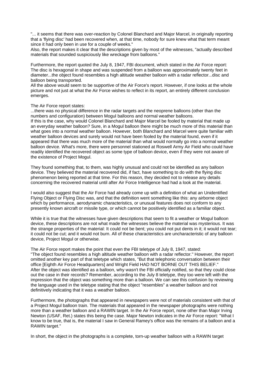"... it seems that there was over-reaction by Colonel Blanchard and Major Marcel, in originally reporting that a 'flying disc' had been recovered when, at that time, nobody for sure knew what that term meant since it had only been in use for a couple of weeks."

Also, the report makes it clear that the descriptions given by most of the witnesses, "actually described materials that sounded suspiciously like wreckage from balloons."

Furthermore, the report quoted the July 8, 1947, FBI document, which stated in the Air Force report: The disc is hexagonal in shape and was suspended from a balloon was approximately twenty feet in diameter...the object found resembles a high altitude weather balloon with a radar reflector...disc and balloon being transported.

All the above would seem to be supportive of the Air Force's report. However, if one looks at the whole picture and not just at what the Air Force wishes to reflect in its report, an entirely different conclusion emerges.

The Air Force report states:

...there was no physical difference in the radar targets and the neoprene balloons (other than the numbers and configuration) between Mogul balloons and normal weather balloons. If this is the case, why would Colonel Blanchard and Major Marcel be fooled by material that made up an everyday weather balloon? Sure, in a Mogul balloon there might be much more of this material than what goes into a normal weather balloon. However, both Blanchard and Marcel were quite familiar with weather balloon devices and surely would not have been fooled by the material found, even if it appeared that there was much more of the material than what would normally go into a normal weather balloon device. What's more, there were personnel stationed at Roswell Army Air Field who could have readily identified the recovered object as some type of balloon device, even if they were not aware of the existence of Project Mogul.

They found something that, to them, was highly unusual and could not be identified as any balloon device. They believed the material recovered did, if fact, have something to do with the flying disc phenomenon being reported at that time. For this reason, they decided not to release any details concerning the recovered material until after Air Force Intelligence had had a look at the material.

I would also suggest that the Air Force had already come up with a definition of what an Unidentified Flying Object or Flying Disc was, and that the definition went something like this: any airborne object which by performance, aerodynamic characteristics, or unusual features does not conform to any presently known aircraft or missile type, or which cannot be positively identified as a familiar object.

While it is true that the witnesses have given descriptions that seem to fit a weather or Mogul balloon device, these descriptions are not what made the witnesses believe the material was mysterious. It was the strange properties of the material: It could not be bent; you could not put dents in it; it would not tear; it could not be cut; and it would not burn. All of these characteristics are uncharacteristic of any balloon device, Project Mogul or otherwise.

The Air Force report makes the point that even the FBI teletype of July 8, 1947, stated: "The object found resembles a high altitude weather balloon with a radar reflector." However, the report omitted another key part of that teletype which states, "But that telephonic conversation between their office [Eighth Air Force Headquarters] and Wright Field HAD NOT BORNE OUT THIS BELIEF." After the object was identified as a balloon, why wasn't the FBI officially notified, so that they could close out the case in their records? Remember, according to the July 8 teletype, they too were left with the impression that the object was something more than a balloon. We can see this confusion by reviewing the language used in the teletype stating that the object "resembles" a weather balloon and not definitively indicating that it was a weather balloon.

Furthermore, the photographs that appeared in newspapers were not of materials consistent with that of a Project Mogul balloon train. The materials that appeared in the newspaper photographs were nothing more than a weather balloon and a RAWIN target. In the Air Force report, none other than Major Irving Newton (USAF, Ret.) states this being the case. Major Newton indicates in the Air Force report: "What I know to be true, that is, the material I saw in General Ramey's office was the remains of a balloon and a RAWIN target."

In short, the object in the photographs is a complete, torn-up weather balloon with a RAWIN target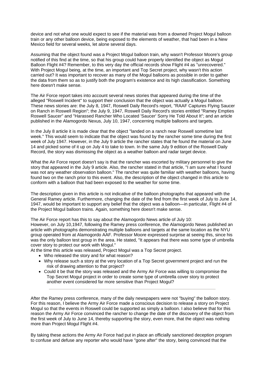device and not what one would expect to see if the material was from a downed Project Mogul balloon train or any other balloon device, being exposed to the elements of weather, that had been in a New Mexico field for several weeks, let alone several days.

Assuming that the object found was a Project Mogul balloon train, why wasn't Professor Moore's group notified of this find at the time, so that his group could have properly identified the object as Mogul Balloon Flight #4? Remember, to this very day the official records show Flight #4 as "unrecovered." With Project Mogul being, at the time, an important and Top Secret project, why wasn't this action carried out? It was important to recover as many of the Mogul balloons as possible in order to gather the data from them so as to justify both the program's existence and its high classification. Something here doesn't make sense.

The Air Force report takes into account several news stories that appeared during the time of the alleged "Roswell Incident" to support their conclusion that the object was actually a Mogul balloon. These news stories are: the July 8, 1947, Roswell Daily Record's report, "RAAF Captures Flying Saucer on Ranch in Roswell Region"; the July 9, 1947, Roswell Daily Record's stories entitled "Ramey Empties Roswell Saucer" and "Harassed Rancher Who Located 'Saucer' Sorry He Told About It"; and an article published in the Alamogordo Nexus, July 10, 1947, concerning multiple balloons and targets.

In the July 8 article it is made clear that the object "landed on a ranch near Roswell sometime last week." This would seem to indicate that the object was found by the rancher some time during the first week of July 1947. However, in the July 9 article the rancher states that he found the material on June 14 and picked some of it up on July 4 to take to town. In the same July 9 edition of the Roswell Daily Record, the story was dismissing the object as a weather balloon and radar target device.

What the Air Force report doesn't say is that the rancher was escorted by military personnel to give the story that appeared in the July 9 article. Also, the rancher stated in that article, "I am sure what I found was not any weather observation balloon." The rancher was quite familiar with weather balloons, having found two on the ranch prior to this event. Also, the description of the object changed in this article to conform with a balloon that had been exposed to the weather for some time.

The description given in this article is not indicative of the balloon photographs that appeared with the General Ramey article. Furthermore, changing the date of the find from the first week of July to June 14, 1947, would be important to support any belief that the object was a balloon—in particular, Flight #4 of the Project Mogul balloon trains. Again, something here doesn't make sense.

The Air Force report has this to say about the Alamogordo News article of July 10: However, on July 10,1947, following the Ramey press conference, the Alamogordo News published an article with photographs demonstrating multiple balloons and targets at the same location as the NYU group operated from at Alamogordo AAF. Professor Moore expressed surprise at seeing this, since his was the only balloon test group in the area. He stated, "It appears that there was some type of umbrella cover story to protect our work with Mogul."

At the time this article was released, Project Mogul was a Top Secret project.

- Who released the story and for what reason?
- Why release such a story at the very location of a Top Secret government project and run the risk of drawing attention to that project?
- Could it be that the story was released and the Army Air Force was willing to compromise the Top Secret Mogul project in order to create some type of umbrella cover story to protect another event considered far more sensitive than Project Mogul?

After the Ramey press conference, many of the daily newspapers were not "buying" the balloon story. For this reason, I believe the Army Air Force made a conscious decision to release a story on Project Mogul so that the events in Roswell could be supported as simply a balloon. I also believe that for this reason the Army Air Force convinced the rancher to change the date of the discovery of the object from the first week of July to June 14, thereby supporting the story, even more, that the object was nothing more than Project Mogul Flight #4.

By taking these actions the Army Air Force had put in place an officially sanctioned deception program to confuse and defuse any reporter who would have "gone after" the story, being convinced that the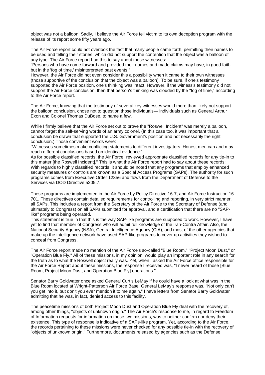object was not a balloon. Sadly, I believe the Air Force fell victim to its own deception program with the release of its report some fifty years ago.

The Air Force report could not overlook the fact that many people came forth, permitting their names to be used and telling their stories, which did not support the contention that the object was a balloon of any type. The Air Force report had this to say about these witnesses:

"Persons who have come forward and provided their names and made claims may have, in good faith but in the 'fog of time,' misinterpreted past events."

However, the Air Force did not even consider this a possibility when it came to their own witnesses (those supportive of the conclusion that the object was a balloon). To be sure, if one's testimony supported the Air Force position, one's thinking was intact. However, if the witness's testimony did not support the Air Force conclusion, then that person's thinking was clouded by the "fog of time," according to the Air Force report.

The Air Force, knowing that the testimony of several key witnesses would more than likely not support the balloon conclusion, chose not to question those individuals— individuals such as General Arthur Exon and Colonel Thomas DuBose, to name a few.

While I firmly believe that the Air Force set out to prove the "Roswell Incident" was merely a balloon, I cannot forget the self-serving words of an army colonel. (In this case too, it was important that a conclusion be drawn that supported the U.S. Government's position and not necessarily the right conclusion.) Those convenient words were:

"Witnesses sometimes make conflicting statements to different investigators. Honest men can and may reach different conclusions based on identical evidence."

As for possible classified records, the Air Force "reviewed appropriate classified records for any tie-in to this matter [the Roswell Incident]." This is what the Air Force report had to say about these records: With regards to highly classified records, it should be noted that any programs that employ enhanced security measures or controls are known as a Special Access Programs (SAPs). The authority for such programs comes from Executive Order 12356 and flows from the Department of Defense to the Services via DOD Directive 5205.7.

These programs are implemented in the Air Force by Policy Directive 16-7, and Air Force Instruction 16- 701. These directives contain detailed requirements for controlling and reporting, in very strict manner, all SAPs. This includes a report from the Secretary of the Air Force to the Secretary of Defense (and ultimately to Congress) on all SAPs submitted for approval, and a certification that there are no "SAPlike" programs being operated.

This statement is true in that this is the way SAP-like programs are supposed to work. However, I have yet to find that member of Congress who will admit full knowledge of the Iran-Contra Affair. Also, the National Security Agency (NSA), Central Intelligence Agency (CIA), and most of the other agencies that make up the intelligence network have used SAP-like programs to cover up activities they wished to conceal from Congress.

The Air Force report made no mention of the Air Force's so-called "Blue Room," "Project Moon Dust," or "Operation Blue Fly." All of these missions, in my opinion, would play an important role in any search for the truth as to what the Roswell object really was. Yet, when I asked the Air Force office responsible for the Air Force Report about these missions, the response I received was, "I never heard of those [Blue Room, Project Moon Dust, and Operation Blue Fly] operations."

Senator Barry Goldwater once asked General Curtis LeMay if he could have a look at what was in the Blue Room located at Wright-Patterson Air Force Base. General LeMay's response was, "Not only can't you get into it, but don't you ever mention it to me again." I have letters from Senator Barry Goldwater admitting that he was, in fact, denied access to this facility.

The peacetime missions of both Project Moon Dust and Operation Blue Fly deal with the recovery of, among other things, "objects of unknown origin." The Air Force's response to me, in regard to Freedom of Information requests for information on these two missions, was to neither confirm nor deny their existence. This type of response is indicative of a SAPs-like program. Yet, according to the Air Force, the records pertaining to these missions were never checked for any possible tie-in with the recovery of "objects of unknown origin." Furthermore, documents released by agencies such as the Defense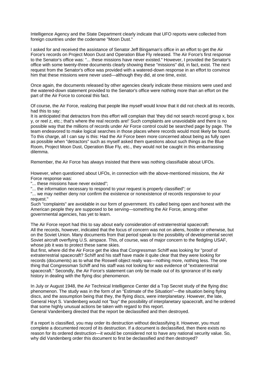Intelligence Agency and the State Department clearly indicate that UFO reports were collected from foreign countries under the codename "Moon Dust."

I asked for and received the assistance of Senator Jeff Bingaman's office in an effort to get the Air Force's records on Project Moon Dust and Operation Blue Fly released. The Air Force's first response to the Senator's office was: "... these missions have never existed." However, I provided the Senator's office with some twenty-three documents clearly showing these "missions" did, in fact, exist. The next request from the Senator's office was provided with a watered-down response in an effort to convince him that these missions were never used—although they did, at one time, exist.

Once again, the documents released by other agencies clearly indicate these missions were used and the watered-down statement provided to the Senator's office were nothing more than an effort on the part of the Air Force to conceal this fact.

Of course, the Air Force, realizing that people like myself would know that it did not check all its records, had this to say:

It is anticipated that detractors from this effort will complain that 'they did not search record group x, box y, or reel z, etc.; that's where the real records are!' Such complaints are unavoidable and there is no possible way that the millions of records under Air Force control could be searched page by page. The team endeavored to make logical searches in those places where records would most likely be found. To this charge, all I can say is this: Had the Air Force been more concerned about being as fully open as possible when "detractors" such as myself asked them questions about such things as the Blue Room, Project Moon Dust, Operation Blue Fly, etc., they would not be caught in this embarrassing dilemma.

Remember, the Air Force has always insisted that there was nothing classifiable about UFOs.

However, when questioned about UFOs, in connection with the above-mentioned missions, the Air Force response was:

"... these missions have never existed";

"... the information necessary to respond to your request is properly classified"; or

"... we mav neither deny nor confirm the existence or nonexistence of records responsive to your request."

Such "complaints" are avoidable in our form of government. It's called being open and honest with the American people they are supposed to be serving—something the Air Force, among other governmental agencies, has yet to learn.

The Air Force report had this to say about early consideration of extraterrestrial spacecraft: All the records, however, indicated that the focus of concern was not on aliens, hostile or otherwise, but on the Soviet Union. Many documents from that period speak to the possibility of developmental secret Soviet aircraft overflying U.S. airspace. This, of course, was of major concern to the fledgling USAF, whose job it was to protect these same skies.

But first, where did the Air Force get the idea that Congressman Schiff was looking for "proof of extraterrestrial spacecraft? Schiff and his staff have made it quite clear that they were looking for records (documents) as to what the Roswell object really was—nothing more, nothing less. The one thing that Congressman Schiff and his staff was not looking for was evidence of "extraterrestrial spacecraft." Secondly, the Air Force's statement can only be made out of its ignorance of its early history in dealing with the flying disc phenomenon.

In July or August 1948, the Air Technical Intelligence Center did a Top Secret study of the flying disc phenomenon. The study was in the form of an "Estimate of the Situation"—the situation being flying discs, and the assumption being that they, the flying discs, were interplanetary. However, the late, General Hoyt S. Vandenberg would not "buy" the possibility of interplanetary spacecraft, and he ordered that some highly unusual actions be taken with regard to this report.

General Vandenberg directed that the report be declassified and then destroyed.

If a report is classified, you may order its destruction without declassifying it. However, you must complete a documented record of its destruction. If a document is declassified, then there exists no reason for its ordered destruction—it would be considered not to have any national security value. So, why did Vandenberg order this document to first be declassified and then destroyed?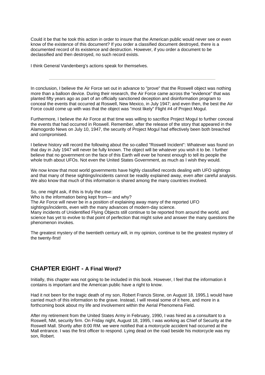Could it be that he took this action in order to insure that the American public would never see or even know of the existence of this document? If you order a classified document destroyed, there is a documented record of its existence and destruction. However, if you order a document to be declassified and then destroyed, no such record exists.

I think General Vandenberg's actions speak for themselves.

In conclusion, I believe the Air Force set out in advance to "prove" that the Roswell object was nothing more than a balloon device. During their research, the Air Force came across the "evidence" that was planted fifty years ago as part of an officially sanctioned deception and disinformation program to conceal the events that occurred at Roswell, New Mexico, in July 1947; and even then, the best the Air Force could come up with was that the object was "most likely" Flight #4 of Project Mogul.

Furthermore, I believe the Air Force at that time was willing to sacrifice Project Mogul to further conceal the events that had occurred in Roswell. Remember, after the release of the story that appeared in the Alamogordo News on July 10, 1947, the security of Project Mogul had effectively been both breached and compromised.

I believe history will record the following about the so-called "Roswell Incident": Whatever was found on that day in July 1947 will never be fully known. The object will be whatever you wish it to be. I further believe that no government on the face of this Earth will ever be honest enough to tell its people the whole truth about UFOs. Not even the United States Government, as much as I wish they would.

We now know that most world governments have highly classified records dealing with UFO sightings and that many of these sightings/incidents cannot be readily explained away, even after careful analysis. We also know that much of this information is shared among the many countries involved.

So, one might ask, if this is truly the case:

Who is the information being kept from— and why?

The Air Force will never be in a position of explaining away many of the reported UFO

sightings/incidents, even with the many advances of modern-day science.

Many incidents of Unidentified Flying Objects still continue to be reported from around the world, and science has yet to evolve to that point of perfection that might solve and answer the many questions the phenomenon invokes.

The greatest mystery of the twentieth century will, in my opinion, continue to be the greatest mystery of the twenty-first!

## **CHAPTER EIGHT - A Final Word?**

Initially, this chapter was not going to be included in this book. However, I feel that the information it contains is important and the American public have a right to know.

Had it not been for the tragic death of my son, Robert Francis Stone, on August 18, 1995,1 would have carried much of this information to the grave. Instead, I will reveal some of it here, and more in a forthcoming book about my life and involvement within the Aerial Phenomena Field.

After my retirement from the United States Army in February, 1990, I was hired as a consultant to a Roswell, NM, security firm. On Friday night, August 18, 1995, I was working as Chief of Security at the Roswell Mall. Shortly after 8:00 RM. we were notified that a motorcycle accident had occurred at the Mall entrance. I was the first officer to respond. Lying dead on the road beside his motorcycle was my son, Robert.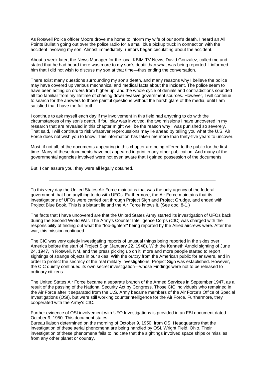As Roswell Police officer Moore drove me home to inform my wife of our son's death, I heard an All Points Bulletin going out over the police radio for a small blue pickup truck in connection with the accident involving my son. Almost immediately, rumors began circulating about the accident.

About a week later, the News Manager for the local KBIM-TV News, David Gonzalez, called me and stated that he had heard there was more to my son's deatii than what was being reported. I informed him that I did not wish to discuss my son at that time—thus ending the conversation.

There exist many questions surrounding my son's death, and many reasons why I believe the police may have covered up various mechanical and medical facts about the incident. The police seem to have been acting on orders from higher up, and the whole cycle of denials and contradictions sounded all too familiar from my lifetime of chasing down evasive government sources. However, I will continue to search for the answers to those painful questions without the harsh glare of the media, until I am satisfied that I have the full truth.

I continue to ask myself each day if my involvement in this field had anything to do with the circumstances of my son's death. If foul play was involved, the two missions I have uncovered in my research that are revealed in this chapter might well be the reason why I was punished so severely. That said, I will continue to risk whatever repercussions may lie ahead by telling you what the U.S. Air Force does not wish you to know. This information has taken me more than thirty-five years to uncover.

Most, if not all, of the documents appearing in this chapter are being offered to the public for the first time. Many of these documents have not appeared in print in any other publication. And many of the governmental agencies involved were not even aware that I gained possession of the documents.

But, I can assure you, they were all legally obtained.

To this very day the United States Air Force maintains that was the only agency of the federal government that had anything to do with UFOs. Furthermore, the Air Force maintains that its investigations of UFOs were carried out through Project Sign and Project Grudge, and ended with Project Blue Book. This is a blatant lie and the Air Force knows it. (See doc. 8-1.)

The facts that I have uncovered are that the United States Army started its investigation of UFOs back during the Second World War. The Army's Counter Intelligence Corps (CIC) was charged with the responsibility of finding out what the "foo-fighters" being reported by the Allied aircrews were. After the war, this mission continued.

The CIC was very quietly investigating reports of unusual things being reported in the skies over America before the start of Project Sign (January 22, 1948). With the Kenneth Arnold sighting of June 24, 1947, in Roswell, NM, and the press picking up on it, more and more people started to report sightings of strange objects in our skies. With the outcry from the American public for answers, and in order to protect the secrecy of the real military investigations, Project Sign was established. However, the CIC quietly continued its own secret investigation—whose Findings were not to be released to ordinary citizens.

The United States Air Force became a separate branch of the Armed Services in September 1947, as a result of the passing of the National Security Act by Congress. Those CIC individuals who remained in the Air Force after it separated from the U.S. Army became members of the Air Force's Office of Special Investigations (OSI), but were still working counterintelligence for the Air Force. Furthermore, they cooperated with the Army's CIC.

Further evidence of OSI involvement with UFO Investigations is provided in an FBI document dated October 9, 1950. This document states:

Bureau liaison determined on the morning of October 9, 1950, from OSI Headquarters that the investigation of these aerial phenomena are being handled by OSI, Wright Field, Ohio. Their investigation of these phenomena fails to indicate that the sightings involved space ships or missiles from any other planet or country.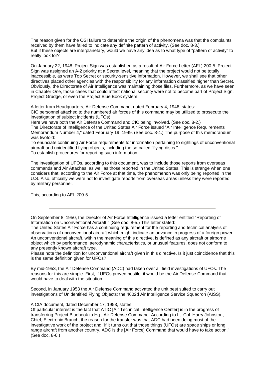The reason given for the OSI failure to determine the origin of the phenomena was that the complaints received by them have failed to indicate any definite pattern of activity. (See doc. 8-3.) But if these objects are interplanetary, would we have any idea as to what type of "pattern of activity" to really look for?

On January 22, 1948, Project Sign was established as a result of Air Force Letter (AFL) 200-5. Project Sign was assigned an A-2 priority at a Secret level, meaning that the project would not be totally inaccessible, as were Top Secret or security-sensitive information. However, we shall see that other directives placed other agencies with the responsibility for any information classified higher than Secret. Obviously, the Directorate of Air Intelligence was maintaining those files. Furthermore, as we have seen in Chapter One, those cases that could affect national security were not to become part of Project Sign, Project Grudge, or even the Project Blue Book system.

A letter from Headquarters, Air Defense Command, dated February 4, 1948, states: CIC personnel attached to the numbered air forces of this command may be utilized to prosecute the investigation of subject incidents (UFOs).

Here we have both the Air Defense Command and CIC being involved. (See doc. 8-2.) The Directorate of Intelligence of the United States Air Force issued "Air Intelligence Requirements Memorandum Number 4," dated February 19, 1949. (See doc. 8-4.) The purpose of this memorandum was twofold:

To enunciate continuing Air Force requirements for information pertaining to sightings of unconventional aircraft and unidentified flying objects, including the so-called "flying discs." To establish procedures for reporting such information.

The investigation of UFOs, according to this document, was to include those reports from overseas commands and Air Attaches, as well as those reported in the United States. This is strange when one considers that, according to the Air Force at that time, the phenomenon was only being reported in the U.S. Also, officially we were not to investigate reports from overseas areas unless they were reported by military personnel.

This, according to AFL 200-5.

On September 8, 1950, the Director of Air Force Intelligence issued a letter entitled "Reporting of Information on Unconventional Aircraft." (See doc. 8-5.) This letter stated:

The United States Air Force has a continuing requirement for the reporting and technical analysis of observations of unconventional aircraft which might indicate an advance in progress of a foreign power. An unconventional aircraft, within the meaning of this directive, is defined as any aircraft or airborne object which by performance, aerodynamic characteristics, or unusual features, does not conform to any presently known aircraft type.

Please note the definition for unconventional aircraft given in this directive. Is it just coincidence that this is the same definition given for UFOs?

By mid-1953, the Air Defense Command (ADC) had taken over all field investigations of UFOs. The reasons for this are simple. First, if UFOs proved hostile, it would be the Air Defense Command that would have to deal with the situation.

Second, in January 1953 the Air Defense Command activated the unit best suited to carry out investigations of Unidentified Flying Objects: the 4602d Air Intelligence Service Squadron (AISS).

A CIA document, dated December 17, 1953, states:

Of particular interest is the fact that ATIC [Air Technical Intelligence Center] is in the progress of transferring Project Bluebook to Hq., Air Defense Command. According to Lt. Col. Harry Johnston, Chief, Electronic Branch, the reason for the transfer was that ADC had been doing most of the investigative work of the project and "if it turns out that those things (UFOs) are space ships or long range aircraft from another country, ADC is the [Air Force] Command that would have to take action." (See doc. 8-6.)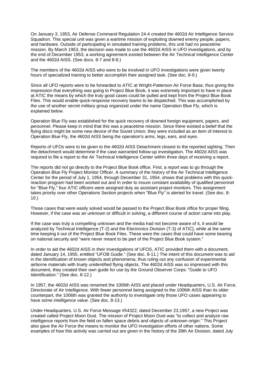On January 3, 1953, Air Defense Command Regulation 24-4 created the 4602d Air Intelligence Service Squadron. This special unit was given a wartime mission of exploiting downed enemy people, papers, and hardware. Outside of participating in simulated training problems, this unit had no peacetime mission. By March 1953, the decision was made to use the 4602d AISS in UFO investigations, and by the end of December 1953, a working agreement existed between the Air Technical Intelligence Center and the 4602d AISS. (See docs. 8-7 and 8-8.)

The members of the 4602d AISS who were to be involved in UFO investigations were given twenty hours of specialized training to better accomplish their assigned task. (See doc. 8-9.)

Since all UFO reports were to be forwarded to ATIC at Wright-Patterson Air Force Base, thus giving the impression that everything was going to Project Blue Book, it was extremely important to have in place at ATIC the means by which the truly good cases could be pulled and kept from the Project Blue Book Files. This would enable quick-response recovery teams to be dispatched. This was accomplished by the use of another secret military group organized under the name Operation Blue Fly, which is explained below.

Operation Blue Fly was established for the quick recovery of downed foreign equipment, papers, and personnel. Please keep in mind that this was a peacetime mission. Since there existed a belief that the flying discs might be some new device of the Soviet Union, they were included as an item of interest to Operation Blue Fly, the 4602d AISS being the operation's arms, legs, ears, and eyes.

Reports of UFOs were to be given to the 4602d AISS Detachment closest to the reported sighting. Then the detachment would determine if the case warranted follow-up investigation. The 4602d AISS was required to file a report to the Air Technical Intelligence Center within three days of receiving a report.

The reports did not go directly to the Project Blue Book office. First, a report was to go through the Operation Blue Fly Project Monitor Officer. A summary of the history of the Air Technical Intelligence Center for the period of July 1, 1954, through December 31, 1954, shows that problems with this quickreaction program had been worked out and In order to insure constant availability of qualified personnel for "Blue Fly," four ATIC officers were assigned duty as assistant project monitors. This assignment takes priority over other Operations Section projects when "Blue Fly" is alerted for travel. (See doc. 8- 10.)

Those cases that were easily solved would be passed to the Project Blue Book office for proper filing. However, if the case was an unknown or difficult in solving, a different course of action came into play.

If the case was truly a compelling unknown and the media had not become aware of it, it would be analyzed by Technical Intelligence (T-2) and the Electronics Division (T-3) of ATIC], while at the same time keeping it out of the Project Blue Book Files. These were the cases that could have some bearing on national security and "were never meant to be part of the Project Blue Book system."

In order to aid the 4602d AISS in their investigations of UFOS, ATIC provided them with a document, dated January 14, 1955, entitled "UFOB Guide." (See doc. 8-11.) The intent of this document was to aid in the identification of known objects and phenomena, thus ruling out any confusion of experimental airborne materials with truely unidentified flying objects. The 4602d AISS was so impressed with this document, they created their own guide for use by the Ground Observer Corps: "Guide to UFO Identification." (See doc. 8-12.)

In 1957, the 4602d AISS was renamed the 1006th AISS and placed under Headquarters, U.S. Air Force, Directorate of Air Intelligence. With fewer personnel being assigned to the 1006th AISS than its older counterpart, the 1006th was granted the authority to investigate only those UFO cases appearing to have some intelligence value. (See doc. 8-13.)

Under Headquarters, U.S. Air Force Message #54322, dated December 23,1957, a new Project was created called Project Moon Dust. The mission of Project Moon Dust was "to collect and analyze raw intelligence reports from the field on fallen space debris and objects of unknown origin." This Project also gave the Air Force the means to monitor the UFO investigation efforts of other nations. Some examples of how this activity was carried out are given in the history of the 39th Air Division, dated July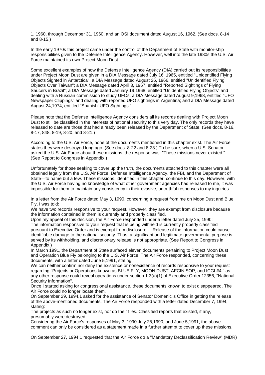1, 1960, through December 31, 1960, and an OSI document dated August 16, 1962. (See docs. 8-14 and 8-15.)

In the early 1970s this project came under the control of the Department of State with monitor-ship responsibilities given to the Defense Intelligence Agency. However, well into the late 1980s the U.S. Air Force maintained its own Project Moon Dust.

Some excellent examples of how the Defense Intelligence Agency (DIA) carried out its responsibilities under Project Moon Dust are given in a DIA Message dated July 16, 1965, entitled "Unidentified Flying Objects Sighted in Antarctica"; a DIA Message dated August 26, 1966, entitled "Unidentified Flying Objects Over Taiwan"; a DIA Message dated April 3, 1967, entitled "Reported Sightings of Flying Saucers in Brazil"; a DIA Message dated January 19,1968, entitled "Unidentified Flying Objects" and dealing with a Russian commission to study UFOs; a DIA Message dated August 9,1968, entitled "UFO Newspaper Clippings" and dealing with reported UFO sightings in Argentina; and a DIA Message dated August 24,1974, entitled "Spanish' UFO Sightings."

Please note that the Defense Intelligence Agency considers all its records dealing with Project Moon Dust to still be classified in the interests of national security to this very day. The only records they have released to date are those that had already been released by the Department of State. (See docs. 8-16, 8-17, 848, 8-19, 8-20, and 8-21.)

According to the U.S. Air Force, none of the documents mentioned in this chapter exist. The Air Force states they were destroyed long ago. (See docs. 8-22 and 8-23.) To be sure, when a U.S. Senator asked the U.S. Air Force about these missions, the response was: "These missions never existed." (See Report to Congress in Appendix.)

Unfortunately for those seeking to cover up the truth, the documents attached to this chapter were all obtained legally from the U.S. Air Force, Defense Intelligence Agency, the FBI, and the Department of State—to name but a few. These missions, identified in this chapter, continue to this day. However, with the U.S. Air Force having no knowledge of what other government agencies had released to me, it was impossible for them to maintain any consistency in their evasive, untruthful responses to my inquiries.

In a letter from the Air Force dated May 3, 1990, concerning a request from me on Moon Dust and Blue Fly, I was told:

We have two records responsive to your request. However, they are exempt from disclosure because the information contained in them is currently and properly classified.

Upon my appeal of this decision, the Air Force responded under a letter dated July 25, 1990: The information responsive to your request that is being withheld is currently properly classified pursuant to Executive Order and is exempt from disclosure.... Release of the information could cause identifiable damage to the national security. Thus, a significant and legitimate governmental purpose is served by its withholding, and discretionary release is not appropriate. (See Report to Congress in Appendix.)

In March 1991, the Department of State surfaced eleven documents pertaining to Project Moon Dust and Operation Blue Fly belonging to the U.S. Air Force. The Air Force responded, concerning these documents, with a letter dated June 5,1991, stating:

We can neither confirm nor deny the existence or nonexistence of records responsive to your request regarding "Projects or Operations known as BLUE FLY, MOON DUST, AFCIN SOP, and ICGL#4," as any other response could reveal operations under section 1.3(a)(1) of Executive Order 12356, "National Security Information".

Once I started asking for congressional assistance, these documents known to exist disappeared. The Air Force could no longer locate them.

On September 29, 1994,1 asked for the assistance of Senator Domenici's Office in getting the release of the above-mentioned documents. The Air Force responded with a letter dated December 7, 1994, stating:

The projects as such no longer exist, nor do their files. Classified reports that existed, if any, presumably were destroyed.

Considering the Air Force's responses of May 3, 1990 July 25,1990, and June 5,1991, the above comment can only be considered as a statement made in a further attempt to cover up these missions.

On September 27, 1994,1 requested that the Air Force do a "Mandatory Declassification Review" (MDR)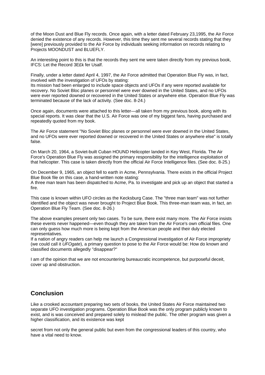of the Moon Dust and Blue Fly records. Once again, with a letter dated February 23,1995, the Air Force denied the existence of any records. However, this time they sent me several records stating that they [were] previously provided to the Air Force by individuals seeking information on records relating to Projects MOONDUST and BLUEFLY.

An interesting point to this is that the records they sent me were taken directly from my previous book, IFCS: Let the Record 3E£k fer Usalf.

Finally, under a letter dated April 4, 1997, the Air Force admitted that Operation Blue Fly was, in fact, involved with the investigation of UFOs by stating:

Its mission had been enlarged to include space objects and UFOs if any were reported available for recovery. No Soviet Bloc planes or personnel were ever downed in the United States, and no UFOs were ever reported downed or recovered in the United States or anywhere else. Operation Blue Fly was terminated because of the lack of activity. (See doc. 8-24.)

Once again, documents were attached to this letter—all taken from my previous book, along with its special reports. It was clear that the U.S. Air Force was one of my biggest fans, having purchased and repeatedly quoted from my book.

The Air Force statement "No Soviet Bloc planes or personnel were ever downed in the United States, and no UFOs were ever reported downed or recovered in the United States or anywhere else" is totally false.

On March 20, 1964, a Soviet-built Cuban HOUND Helicopter landed in Key West, Florida. The Air Force's Operation Blue Fly was assigned the primary responsibility for the intelligence exploitation of that helicopter. This case is taken directly from the official Air Force Intelligence files. (See doc. 8-25.)

On December 9, 1965, an object fell to earth in Acme, Pennsylvania. There exists in the official Project Blue Book file on this case, a hand-written note stating: A three man team has been dispatched to Acme, Pa. to investigate and pick up an object that started a fire.

This case is known within UFO circles as the Kecksburg Case. The "three man team" was not further identified and the object was never brought to Project Blue Book. This three-man team was, in fact, an Operation Blue Fly Team. (See doc. 8-26.)

The above examples present only two cases. To be sure, there exist many more. The Air Force insists these events never happened—even though they are taken from the Air Force's own official files. One can only guess how much more is being kept from the American people and their duly elected representatives.

If a nation of angry readers can help me launch a Congressional investigation of Air Force impropriety (we could call it *UFOgate*), a primary question to pose to the Air Force would be: How do known and classified documents allegedly "disappear?"

I am of the opinion that we are not encountering bureaucratic incompetence, but purposeful deceit, cover up and obstruction.

## **Conclusion**

Like a crooked accountant preparing two sets of books, the United States Air Force maintained two separate UFO investigation programs. Operation Blue Book was the only program publicly known to exist, and is was conceived and prepared solely to mislead the public. The other program was given a higher classification, and its existence was kept

secret from not only the general public but even from the congressional leaders of this country, who have a vital need to know.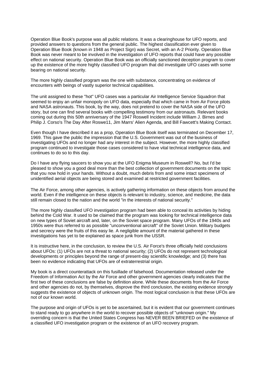Operation Blue Book's purpose was all public relations. It was a clearinghouse for UFO reports, and provided answers to questions from the general public. The highest classification ever given to Operation Blue Book (known in 1948 as Project Sign) was Secret, with an A-2 Priority. Operation Blue Book was never meant to be involved in the investigation of UFO reports that could have any possible effect on national security. Operation Blue Book was an officially sanctioned deception program to cover up the existence of the more highly classified UFO program that did investigate UFO cases with some bearing on national security.

The more highly classified program was the one with substance, concentrating on evidence of encounters with beings of vastly superior technical capabilities.

The unit assigned to these "hot" UFO cases was a particular Air Intelligence Service Squadron that seemed to enjoy an unfair monopoly on UFO data, especially that which came in from Air Force pilots and NASA astronauts. This book, by the way, does not pretend to cover the NASA side of the UFO story, but one can find several books with compelling testimony from our astronauts. Relevant books coming out during this 50th anniversary of the 1947 Roswell Incident include William J. Birnes and Philip J. Corso's The Day After Roswe11, Jim Marrs' Alien Agenda, and Bill Fawcett's Making Contact.

Even though I have described it as a prop, Operation Blue Book itself was terminated on December 17, 1969. This gave the public the impression that the U.S. Government was out of the business of investigating UFOs and no longer had any interest in the subject. However, the more highly classified program continued to investigate those cases considered to have vital technical intelligence data, and continues to do so to this day.

Do I have any flying saucers to show you at the UFO Enigma Museum in Roswell? No, but I'd be pleased to show you a good deal more than the best collection of government documents on the topic that you now hold in your hands. Without a doubt, much debris from and some intact specimens of unidentified aerial objects are being stored and examined at restricted government facilities.

The Air Force, among other agencies, is actively gathering information on these objects from around the world. Even if the intelligence on these objects is relevant to industry, science, and medicine, the data still remain closed to the nation and the world "in the interests of national security."

The more highly classified UFO investigation program had been able to conceal its activities by hiding behind the Cold War. It used to be claimed that the program was looking for technical intelligence data on new types of Soviet aircraft and, later, on the Soviet space program. Many UFOs of the 1940s and 1950s were thus referred to as possible "unconventional aircraft" of the Soviet Union. Military budgets and secrecy were the fruits of this easy lie. A negligible amount of the material gathered in these investigations has yet to be explained as space junk from the USSR.

It is instructive here, in the conclusion, to review the U.S. Air Force's three officially held conclusions about UFOs: (1) UFOs are not a threat to national security; (2) UFOs do not represent technological developments or principles beyond the range of present-day scientific knowledge; and (3) there has been no evidence indicating that UFOs are of extraterrestrial origin.

My book is a direct counterattack on this fusillade of falsehood. Documentation released under the Freedom of Information Act by the Air Force and other government agencies clearly indicates that the first two of these conclusions are false by definition alone. While these documents from the Air Force and other agencies do not, by themselves, disprove the third conclusion, the existing evidence strongly suggests the existence of objects of unknown origin. The most logical conclusion is that these UFOs are not of our known world.

The purpose and origin of UFOs is yet to be ascertained, but it is evident that our government continues to stand ready to go anywhere in the world to recover possible objects of "unknown origin." My overriding concern is that the United States Congress has NEVER BEEN BRIEFED on the existence of a classified UFO investigation program or the existence of an UFO recovery program.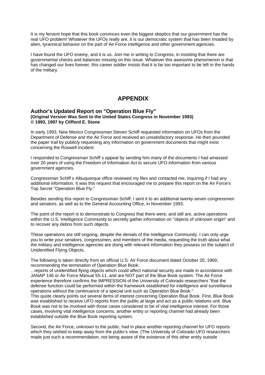It is my fervent hope that this book convinces even the biggest skeptics that our government has the real UFO problem! Whatever the UFOs really are, it is our democratic system that has been invaded by alien, tyrannical behavior on the part of Air Force intelligence and other government agencies.

I have found the UFO enemy, and it is us. Join me in writing to Congress, in insisting that there are governmental checks and balances missing on this issue. Whatever this awesome phenomenon is that has changed our lives forever, this career soldier insists that it is far too important to be left in the hands of the military.

## **APPENDIX**

#### **Author's Updated Report on "Operation Blue Fly" (Original Version Was Sent to the United States Congress in November 1993) © 1993, 1997 by Clifford E. Stone**

In early 1993, New Mexico Congressman Steven Schiff requested information on UFOs from the Department of Defense and the Air Force and received an unsatisfactory response. He then pounded the paper trail by publicly requesting any information on government documents that might exist concerning the Roswell Incident.

I responded to Congressman Schiff s appeal by sending him many of the documents I had amassed over 20 years of using the Freedom of Information Act to secure UFO information from various government agencies.

Congressman Schiff s Albuquerque office reviewed my files and contacted me, inquiring if I had any additional information. It was this request that encouraged me to prepare this report on the Air Force's Top Secret "Operation Blue Fly."

Besides sending this report to Congressman Schiff, I sent it to an additional twenty-seven congressmen and senators, as well as to the General Accounting Office, in November 1993.

The point of the report is to demonstrate to Congress that there were, and still are, active operations within the U.S. Intelligence Community to secretly gather information on "objects of unknown origin" and to recover any debris from such objects.

These operations are still ongoing, despite the denials of the Intelligence Community. I can only urge you to write your senators, congressmen, and members of the media, requesting the truth about what the military and intelligence agencies are doing with relevant information they possess on the subject of Unidentified Flying Objects.

The following is taken directly from an official U.S. Air Force document dated October 20, 1969, recommending the termination of Operation Blue Book:

...reports of unidentified flying objects which could affect national security are made in accordance with JANAP 146 or Air Force Manual 55-11, and are NOT part of the Blue Book system. The Air Force experience therefore confirms the IMPRESSION of the University of Colorado researchers "that the defense function could be performed within the framework established for intelligence and surveillance operations without the continuance of a special unit such as Operation Blue Book."

This quote clearly points out several items of interest concerning Operation Blue Book. First, Blue Book was established to receive UFO reports from the public at large and act as a public relations unit. Blue Book was not to be involved with those cases considered to be of vital intelligence interest. For those cases, involving vital intelligence concerns, another entity or reporting channel had already been established outside the Blue Book reporting system.

Second, the Air Force, unknown to the public, had in place another reporting channel for UFO reports which they wished to keep away from the public's view. (The University of Colorado UFO researchers made just such a recommendation, not being aware of the existence of this other entity outside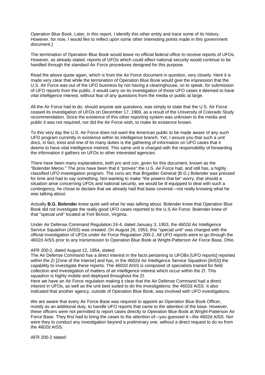Operation Blue Book. Later, in this report, I identify this other entity and trace some of its history. However, for now, I would like to reflect upon some other interesting points made in this government document.)

The termination of Operation Blue Book would leave no official federal office to receive reports of UFOs. However, as already stated, reports of UFOs which could affect national security would continue to be handled through the standard Air Force procedures designed for this purpose.

Read the above quote again, which is from the Air Force document in question, very closely. Here it is made very clear that while the termination of Operation Blue Book would give the impression that the U.S. Air Force was out of the UFO business by not having a clearinghouse, so to speak, for submission of UFO reports from the public, it would carry on its investigation of those UFO cases it deemed to have vital intelligence interest, without fear of any questions from the media or public at large.

All the Air Force had to do, should anyone ask questions, was simply to state that the U.S. Air Force ceased its investigation of UFOs on December 17, 1969, as a result of the University of Colorado Study recommendation. Since the existence of this other reporting system was unknown to the media and public it was not required, nor did the Air Force wish, to make its existence known.

To this very day the U.S. Air Force does not want the American public to be made aware of any such UFO program currently in existence within its intelligence branch. Yet, I assure you that such a unit docs, in fact, exist and one of its many duties is the gathering of information on UFO cases that it deems to have vital intelligence interest. This same unit is charged with the responsibility of forwarding the information it gathers on UFOs to other interested agencies.

There have been many explanations, both pro and con, given for this document, known as the "Bolender Memo." The pros have been that it "proves" the U.S. Air Force had, and still has, a highly classified UFO investigation program. The cons arc that Brigadier General (B.G.) Bolender was pressed for time and had to say something. Not wanting to make "the powers that be" worry, that should a situation arise concerning UFOs and national security, we would be ill equipped to deal with such a contingency, he chose to declare that we already had that base covered—not really knowing what he was talking about.

Actually **B.G. Bolender** knew quite well what he was talking about. Bolender knew that Operation Blue Book did not investigate the really good UFO cases reported to the U.S Air Force. Bolender knew of that "special unit" located at Fort Bclvoir, Virginia.

Under Air Defense Command Regulation 24-4, dated January 3, 1953, the 4602d Air Intelligence Service Squadron (AISS) was created. On August 26, 1953, this "special unit" was charged with the official investigation of UFOs under Air Force Regulation 200-2. All UFO reports were to go through the 4602d AISS prior to any transmission to Operation Blue Book at Wright-Patterson Air Force Base, Ohio.

#### AFR 200-2, dated August 12, 1954, stated:

The Air Defense Command has a direct interest in the facts pertaining to UFOBs [UFO reports] reported within the ZI [Zone of the Interior] and has, in the 4602d Air Intelligence Service Squadron [AISS] the capability to investigate these reports. The 4602d AISS is composed of specialists trained for field collection and investigation of matters of air intelligence interest which occur within the ZI. This squadron is highly mobile and deployed throughout the ZI.

Here we have an Air Force regulation making it clear that the Air Defense Command had a direct interest in UFOs, as well as the unit best suited to do the investigations: the 4602d AISS. It also indicated that another agency, outside of Operation Blue Book, was involved with UFO investigations.

We are aware that every Air Force Base was required to appoint an Operation Blue Book Officer, mostly as an additional duty, to handle UFO reports that came to the attention of the base. However, these officers were not permitted to report cases directly to Operation Blue Book at Wright-Patterson Air Force Base. They first had to bring the cases to the attention of—you guessed it—the 4602d AISS. Nor were they to conduct any investigation beyond a preliminary one, without a direct request to do so from the 4602d AISS.

AFR 200-2 stated: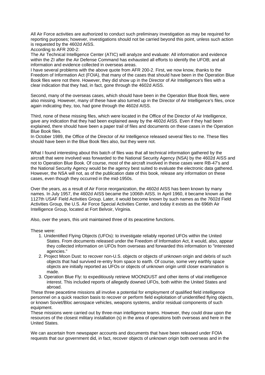All Air Force activities are authorized to conduct such preliminary investigation as may be required for reporting purposes; however, investigations should not be carried beyond this point, unless such action is requested by the 4602d AISS.

According to AFR 200-2:

The Air Technical Intelligence Center (ATIC) will analyze and evaluate: All information and evidence within the ZI after the Air Defense Command has exhausted all efforts to identify the UFOB; and all information and evidence collected in overseas areas.

I have several problems with the above quote from AFR 200-2. First, we now know, thanks to the Freedom of Information Act (FOIA), that many of the cases that should have been in the Operation Blue Book files were not there. However, they did show up in the Director of Air Intelligence's files with a clear indication that they had, in fact, gone through the 4602d AISS.

Second, many of the overseas cases, which should have been in the Operation Blue Book files, were also missing. However, many of these have also turned up in the Director of Air Intelligence's files, once again indicating they, too, had gone through the 4602d AISS.

Third, none of these missing files, which were located in the Office of the Director of Air Intelligence, gave any indication that they had been explained away by the 4602d AISS. Even if they had been explained, there should have been a paper trail of files and documents on these cases in the Operation Blue Book files.

In October 1989, the Office of the Director of Air Intelligence released several files to me. These files should have been in the Blue Book files also, but they were not.

What I found interesting about this batch of files was that all technical information gathered by the aircraft that were involved was forwarded to the National Security Agency (NSA) by the 4602d AISS and not to Operation Blue Book. Of course, most of the aircraft involved in these cases were RB-47's and the National Security Agency would be the agency best suited to evaluate the electronic data gathered. However, the NSA will not, as of the publication date of this book, release any information on these cases, even though they occurred in the mid-1950s.

Over the years, as a result of Air Force reorganization, the 4602d AISS has been known by many names. In July 1957, the 4602d AISS became the 1006th AISS. In April 1960, it became known as the 1127th USAF Field Activities Group. Later, it would become known by such names as the 7602d Field Activities Group, the U.S. Air Force Special Activities Center, and today it exists as the 696th Air Intelligence Group, located at Fort Belvoir, Virginia.

Also, over the years, this unit maintained three of its peacetime functions.

These were:

- 1. Unidentified Flying Objects (UFOs): to investigate reliably reported UFOs within the United States. From documents released under the Freedom of Information Act, it would, also, appear they collected information on UFOs from overseas and forwarded this information to "interested agencies."
- 2. Project Moon Dust: to recover non-U.S. objects or objects of unknown origin and debris of such objects that had survived re-entry from space to earth. Of course, some very earthly space objects are initially reported as UFOs or objects of unknown origin until closer examination is made.
- 3. Operation Blue Fly: to expeditiously retrieve MOONDUST and other items of vital intelligence interest. This included reports of allegedly downed UFOs, both within the United States and abroad.

These three peacetime missions all involve a potential for employment of qualified field intelligence personnel on a quick reaction basis to recover or perform field exploitation of unidentified flying objects, or known Soviet/Bloc aerospace vehicles, weapons systems, and/or residual components of such equipment.

These missions were carried out by three-man intelligence teams. However, they could draw upon the resources of the closest military installation (s) in the area of operations both overseas and here in the United States.

We can ascertain from newspaper accounts and documents that have been released under FOIA requests that our government did, in fact, recover objects of unknown origin both overseas and in the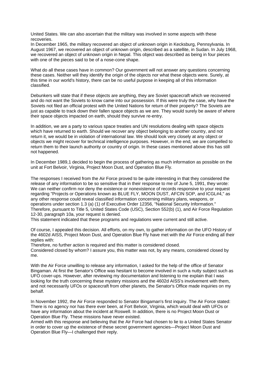United States. We can also ascertain that the military was involved in some aspects with these recoveries.

In December 1965, the military recovered an object of unknown origin in Kecksburg, Pennsylvania. In August 1967, we recovered an object of unknown origin, described as a satellite, in Sudan. In July 1968, we recovered an object of unknown origin in Nepal. This object was described as being in four pieces with one of the pieces said to be of a nose-cone shape.

What do all these cases have in common? Our government will not answer any questions concerning these cases. Neither will they identify the origin of the objects nor what these objects were. Surely, at this time in our world's history, there can be no useful purpose in keeping all of this information classified.

Debunkers will state that if these objects are anything, they are Soviet spacecraft which we recovered and do not want the Soviets to know came into our possession. If this were truly the case, why have the Soviets not filed an official protest with the United Nations for return of their property? The Soviets are just as capable to track down their fallen space objects as we are. They would surely be aware of where their space objects impacted on earth, should they survive re-entry.

In addition, we are a party to various space treaties and UN resolutions dealing with space objects which have returned to earth. Should we recover any object belonging to another country, and not return it, we would be in violation of international law. We should look very closely at any object or objects we might recover for technical intelligence purposes. However, in the end, we are compelled to return them to their launch authority or country of origin. In these cases mentioned above this has still not happened.

In December 1989,1 decided to begin the process of gathering as much information as possible on the unit at Fort Belvoir, Virginia, Project Moon Dust, and Operation Blue Fly.

The responses I received from the Air Force proved to be quite interesting in that they considered the release of any information to be so sensitive that in their response to me of June 5, 1991, they wrote: We can neither confirm nor deny the existence or nonexistence of records responsive to your request regarding "Projects or Operations known as BLUE FLY, MOON DUST, AFCIN SOP, and ICGL#4," as any other response could reveal classified information concerning military plans, weapons, or operations under section 1.3 (a) (1) of Executive Order 12356, "National Security Information." Therefore, pursuant to Title 5, United States Code (USC), Section 552(b) (1), and Air Force Regulation 12-30, paragraph 10a, your request is denied.

This statement indicated that these programs and regulations were current and still active.

Of course, I appealed this decision. All efforts, on my own, to gather information on the UFO History of the 4602d AISS, Project Moon Dust, and Operation Blue Fly have met with the Air Force ending all their replies with:

Therefore, no further action is required and this matter is considered closed. Considered closed by whom? I assure you, this matter was not, by any means, considered closed by me.

With the Air Force unwilling to release any information, I asked for the help of the office of Senator Bingaman. At first the Senator's Office was hesitant to become involved in such a nutty subject such as UFO cover-ups. However, after reviewing my documentation and listening to me explain that I was looking for the truth concerning these mystery missions and the 4602d AISS's involvement with them, and not necessarily UFOs or spacecraft from other planets, the Senator's Office made inquiries on my behalf.

In November 1992, the Air Force responded to Senator Bingaman's first inquiry. The Air Force stated: There is no agency nor has there ever been, at Fort Belvoir, Virginia, which would deal with UFOs or have any information about the incident at Roswell. In addition, there is no Project Moon Dust or Operation Blue Fly. These missions have never existed.

Armed with this response and believing that the Air Force had chosen to lie to a United States Senator in order to cover up the existence of these secret government agencies—Project Moon Dust and Operation Blue Fly—I challenged their reply.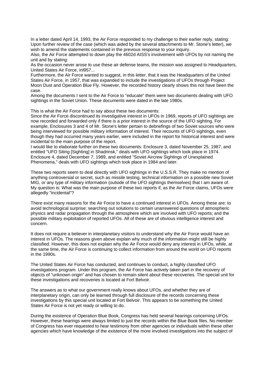In a letter dated April 14, 1993, the Air Force responded to my challenge to their earlier reply, stating: Upon further review of the case (which was aided by the several attachments to Mr. Stone's letter), we wish to amend the statements contained in the previous response to your inquiry.

Also, the Air Force attempted to down play the 4602d AISS's involvement with UFOs by not naming the unit and by stating:

As the occasion never arose to use these air defense teams, the mission was assigned to Headquarters, United States Air Force, inl957...

Furthermore, the Air Force wanted to suggest, in this letter, that it was the Headquarters of the United States Air Force, in 1957, that was expanded to include the investigations of UFOs through Project Moon Dust and Operation Blue Fly. However, the recorded history clearly shows this not have been the case.

Among the documents I sent to the Air Force to "educate" them were two documents dealing with UFO sightings in the Soviet Union. These documents were dated in the late 1980s.

This is what the Air Force had to say about these two documents:

Since the Air Force discontinued its investigative interest in UFOs in 1969, reports of UFO sightings are now recorded and forwarded only if there is a prior interest in the source of the UFO sighting. For example, Enclosures 3 and 4 of Mr. Stone's letter pertain to debriefings of two Soviet sources who were being interviewed for possible military information of interest. Their recounts of UFO sightings, even though they had occurred many years earlier, were included in the report for historical interest and were incidental to the main purpose of the report.

I would like to elaborate further on these two documents: Enclosure 3, dated November 25, 1987, and entitled "UFO Siting [Sighting] in Shadrinsk," deals with UFO sightings which took place in 1974. Enclosure 4, dated December 7, 1989, and entitled "Soviet Aircrew Sightings of Unexplained Phenomena," deals with UFO sightings which took place in 1984 and later.

These two reports seem to deal directly with UFO sightings in the U.S.S.R. They make no mention of anything controversial or secret, such as missile testing, technical information on a possible new Soviet MIG, or any type of military information (outside of the UFO sightings themselves) that I am aware of. My question is: What was the main purpose of these two reports if, as the Air Force claims, UFOs were allegedly "incidental"?

There exist many reasons for the Air Force to have a continued interest in UFOs. Among these are: to avoid technological surprise; searching out solutions to certain unanswered questions of atmospheric physics and radar propagation through the atmosphere which are involved with UFO reports; and the possible military exploitation of reported UFOs. All of these are of obvious intelligence interest and concern.

It does not require a believer in interplanetary visitors to understand why the Air Force would have an interest in UFOs. The reasons given above explain why much of the information might still be highly classified. However, this does not explain why the Air Force would deny any interest in UFOs, while, at the same time, the Air Force is continuing to collect information from around the world on UFO reports in the 1990s.

The United States Air Force has conducted, and continues to conduct, a highly classified UFO investigations program. Under this program, the Air Force has actively taken part in the recovery of objects of "unknown origin" and has chosen to remain silent about these recoveries. The special unit for these investigations and recoveries is located at Fort Belvoir.

The answers as to what our government really knows about UFOs, and whether they are of interplanetary origin, can only be learned through full disclosure of the records concerning these investigations by this special unit located at Fort Belvoir. This appears to be something the United States Air Force is not yet ready or willing to do.

During the existence of Operation Blue Book, Congress has held several hearings concerning UFOs. However, these hearings were always limited to just the records within the Blue Book files. No member of Congress has ever requested to hear testimony from other agencies or individuals within these other agencies which have knowledge of the existence of the more involved investigations into the subject of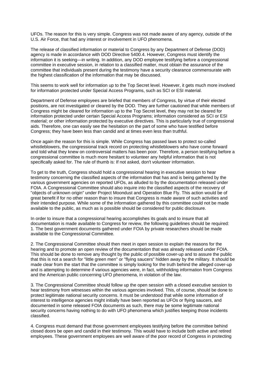UFOs. The reason for this is very simple. Congress was not made aware of any agency, outside of the U.S. Air Force, that had any interest or involvement in UFO phenomena.

The release of classified information or material to Congress by any Department of Defense (DOD) agency is made in accordance with DOD Directive 5400.4. However, Congress must identify the information it is seeking—in writing. In addition, any DOD employee testifying before a congressional committee in executive session, in relation to a classified matter, must obtain the assurance of the committee that individuals present during the testimony have a security clearance commensurate with the highest classification of the information that may be discussed.

This seems to work well for information up to the Top Secret level. However, it gets much more involved for information protected under Special Access Programs, such as SCI or ESI material.

Department of Defense employees are briefed that members of Congress, by virtue of their elected positions, are not investigated or cleared by the DOD. They are further cautioned that while members of Congress might be cleared for information up to the Top Secret level, they may not be cleared for information protected under certain Special Access Programs; information considered as SCI or ESI material; or other information protected by executive directives. This is particularly true of congressional aids. Therefore, one can easily see the hesitation on the part of some who have testified before Congress; they have been less than candid and at times even less than truthful.

Once again the reason for this is simple. While Congress has passed laws to protect so-called whistleblowers, the congressional track record on protecting whistleblowers who have come forward and told what they knew on controversial matters has been poor. Therefore, a person testifying before a congressional committee is much more hesitant to volunteer any helpful information that is not specifically asked for. The rule of thumb is: If not asked, don't volunteer information.

To get to the truth, Congress should hold a congressional hearing in executive session to hear testimony concerning the classified aspects of the information that has and is being gathered by the various government agencies on reported UFOs, as alluded to by the documentation released under FOIA. A Congressional Committee should also inquire into the classified aspects of the recovery of "objects of unknown origin" under Project Moondust and Operation Blue Fly. This action would be of great benefit if for no other reason than to insure that Congress is made aware of such activities and their intended purpose. While some of the information gathered by this committee could not be made available to the public, as much as is possible should be considered for public disclosure.

In order to insure that a congressional hearing accomplishes its goals and to insure that all documentation is made available to Congress for review, the following guidelines should be required: 1. The best government documents gathered under FOIA by private researchers should be made available to the Congressional Committee.

2. The Congressional Committee should then meet in open session to explain the reasons for the hearing and to promote an open review of the documentation that was already released under FOIA. This should be done to remove any thought by the public of possible cover-up and to assure the public that this is not a search for "little green men" or "flying saucers" hidden away by the military. It should be made clear from the start that the committee is simply looking for the truth behind the alleged cover-up and is attempting to determine if various agencies were, in fact, withholding information from Congress and the American public concerning UFO phenomena, in violation of the law.

3. The Congressional Committee should follow up the open session with a closed executive session to hear testimony from witnesses within the various agencies involved. This, of course, should be done to protect legitimate national security concerns. It must be understood that while some information of interest to intelligence agencies might initially have been reported as UFOs or flying saucers, and documented in some released FOIA documents as such, there may be some legitimate national security concerns having nothing to do with UFO phenomena which justifies keeping those incidents classified.

4. Congress must demand that those government employees testifying before the committee behind closed doors be open and candid in their testimony. This would have to include both active and retired employees. These government employees are well aware of the poor record of Congress in protecting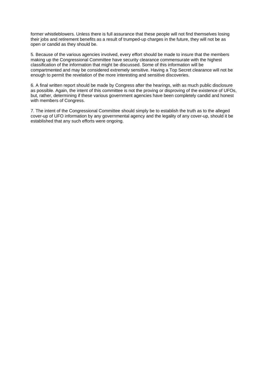former whistleblowers. Unless there is full assurance that these people will not find themselves losing their jobs and retirement benefits as a result of trumped-up charges in the future, they will not be as open or candid as they should be.

5. Because of the various agencies involved, every effort should be made to insure that the members making up the Congressional Committee have security clearance commensurate with the highest classification of the information that might be discussed. Some of this information will be compartmented and may be considered extremely sensitive. Having a Top Secret clearance will not be enough to permit the revelation of the more interesting and sensitive discoveries.

6. A final written report should be made by Congress after the hearings, with as much public disclosure as possible. Again, the intent of this committee is not the proving or disproving of the existence of UFOs, but, rather, determining if these various government agencies have been completely candid and honest with members of Congress.

7. The intent of the Congressional Committee should simply be to establish the truth as to the alleged cover-up of UFO information by any governmental agency and the legality of any cover-up, should it be established that any such efforts were ongoing.